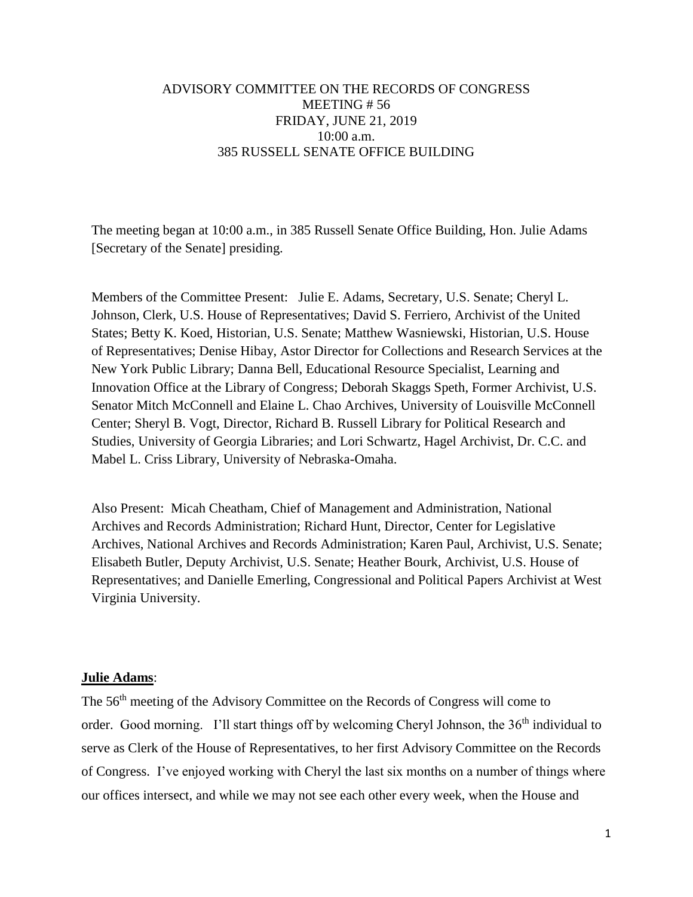## ADVISORY COMMITTEE ON THE RECORDS OF CONGRESS MEETING # 56 FRIDAY, JUNE 21, 2019 10:00 a.m. 385 RUSSELL SENATE OFFICE BUILDING

The meeting began at 10:00 a.m., in 385 Russell Senate Office Building, Hon. Julie Adams [Secretary of the Senate] presiding.

Members of the Committee Present: Julie E. Adams, Secretary, U.S. Senate; Cheryl L. Johnson, Clerk, U.S. House of Representatives; David S. Ferriero, Archivist of the United States; Betty K. Koed, Historian, U.S. Senate; Matthew Wasniewski, Historian, U.S. House of Representatives; Denise Hibay, Astor Director for Collections and Research Services at the New York Public Library; Danna Bell, Educational Resource Specialist, Learning and Innovation Office at the Library of Congress; Deborah Skaggs Speth, Former Archivist, U.S. Senator Mitch McConnell and Elaine L. Chao Archives, University of Louisville McConnell Center; Sheryl B. Vogt, Director, Richard B. Russell Library for Political Research and Studies, University of Georgia Libraries; and Lori Schwartz, Hagel Archivist, Dr. C.C. and Mabel L. Criss Library, University of Nebraska-Omaha.

Also Present: Micah Cheatham, Chief of Management and Administration, National Archives and Records Administration; Richard Hunt, Director, Center for Legislative Archives, National Archives and Records Administration; Karen Paul, Archivist, U.S. Senate; Elisabeth Butler, Deputy Archivist, U.S. Senate; Heather Bourk, Archivist, U.S. House of Representatives; and Danielle Emerling, Congressional and Political Papers Archivist at West Virginia University.

#### **Julie Adams**:

The 56th meeting of the Advisory Committee on the Records of Congress will come to order. Good morning. I'll start things off by welcoming Cheryl Johnson, the 36<sup>th</sup> individual to serve as Clerk of the House of Representatives, to her first Advisory Committee on the Records of Congress. I've enjoyed working with Cheryl the last six months on a number of things where our offices intersect, and while we may not see each other every week, when the House and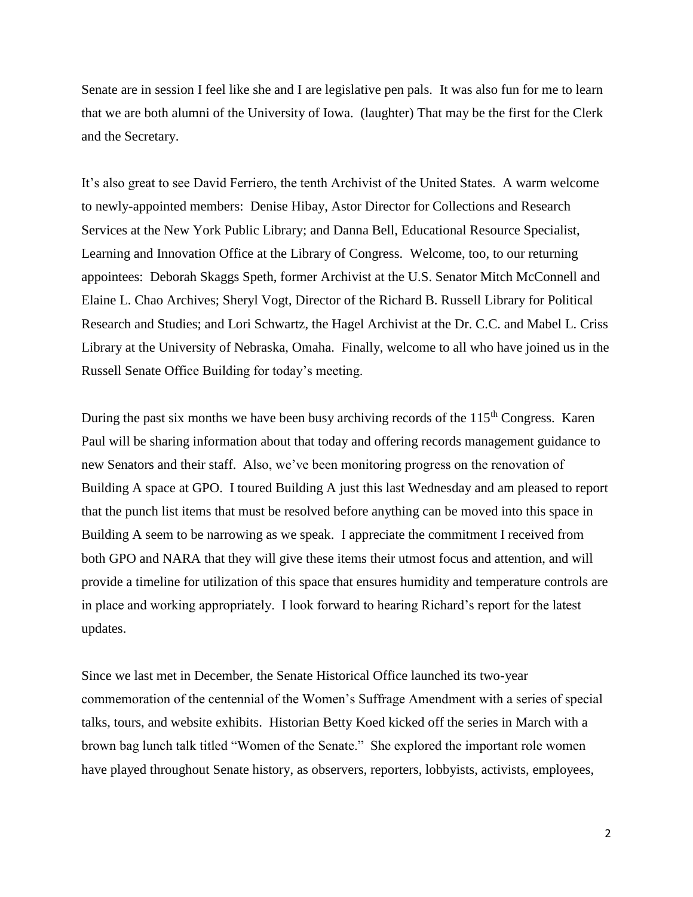Senate are in session I feel like she and I are legislative pen pals. It was also fun for me to learn that we are both alumni of the University of Iowa. (laughter) That may be the first for the Clerk and the Secretary.

It's also great to see David Ferriero, the tenth Archivist of the United States. A warm welcome to newly-appointed members: Denise Hibay, Astor Director for Collections and Research Services at the New York Public Library; and Danna Bell, Educational Resource Specialist, Learning and Innovation Office at the Library of Congress. Welcome, too, to our returning appointees: Deborah Skaggs Speth, former Archivist at the U.S. Senator Mitch McConnell and Elaine L. Chao Archives; Sheryl Vogt, Director of the Richard B. Russell Library for Political Research and Studies; and Lori Schwartz, the Hagel Archivist at the Dr. C.C. and Mabel L. Criss Library at the University of Nebraska, Omaha. Finally, welcome to all who have joined us in the Russell Senate Office Building for today's meeting.

During the past six months we have been busy archiving records of the  $115<sup>th</sup>$  Congress. Karen Paul will be sharing information about that today and offering records management guidance to new Senators and their staff. Also, we've been monitoring progress on the renovation of Building A space at GPO. I toured Building A just this last Wednesday and am pleased to report that the punch list items that must be resolved before anything can be moved into this space in Building A seem to be narrowing as we speak. I appreciate the commitment I received from both GPO and NARA that they will give these items their utmost focus and attention, and will provide a timeline for utilization of this space that ensures humidity and temperature controls are in place and working appropriately. I look forward to hearing Richard's report for the latest updates.

Since we last met in December, the Senate Historical Office launched its two-year commemoration of the centennial of the Women's Suffrage Amendment with a series of special talks, tours, and website exhibits. Historian Betty Koed kicked off the series in March with a brown bag lunch talk titled "Women of the Senate." She explored the important role women have played throughout Senate history, as observers, reporters, lobbyists, activists, employees,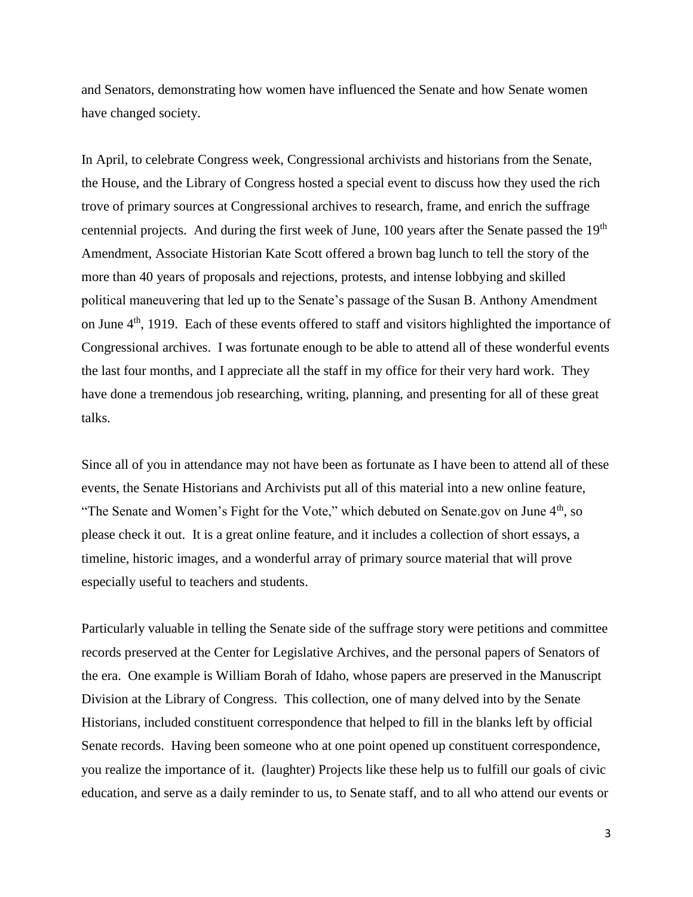and Senators, demonstrating how women have influenced the Senate and how Senate women have changed society.

In April, to celebrate Congress week, Congressional archivists and historians from the Senate, the House, and the Library of Congress hosted a special event to discuss how they used the rich trove of primary sources at Congressional archives to research, frame, and enrich the suffrage centennial projects. And during the first week of June, 100 years after the Senate passed the 19<sup>th</sup> Amendment, Associate Historian Kate Scott offered a brown bag lunch to tell the story of the more than 40 years of proposals and rejections, protests, and intense lobbying and skilled political maneuvering that led up to the Senate's passage of the Susan B. Anthony Amendment on June 4<sup>th</sup>, 1919. Each of these events offered to staff and visitors highlighted the importance of Congressional archives. I was fortunate enough to be able to attend all of these wonderful events the last four months, and I appreciate all the staff in my office for their very hard work. They have done a tremendous job researching, writing, planning, and presenting for all of these great talks.

Since all of you in attendance may not have been as fortunate as I have been to attend all of these events, the Senate Historians and Archivists put all of this material into a new online feature, "The Senate and Women's Fight for the Vote," which debuted on Senate.gov on June 4<sup>th</sup>, so please check it out. It is a great online feature, and it includes a collection of short essays, a timeline, historic images, and a wonderful array of primary source material that will prove especially useful to teachers and students.

Particularly valuable in telling the Senate side of the suffrage story were petitions and committee records preserved at the Center for Legislative Archives, and the personal papers of Senators of the era. One example is William Borah of Idaho, whose papers are preserved in the Manuscript Division at the Library of Congress. This collection, one of many delved into by the Senate Historians, included constituent correspondence that helped to fill in the blanks left by official Senate records. Having been someone who at one point opened up constituent correspondence, you realize the importance of it. (laughter) Projects like these help us to fulfill our goals of civic education, and serve as a daily reminder to us, to Senate staff, and to all who attend our events or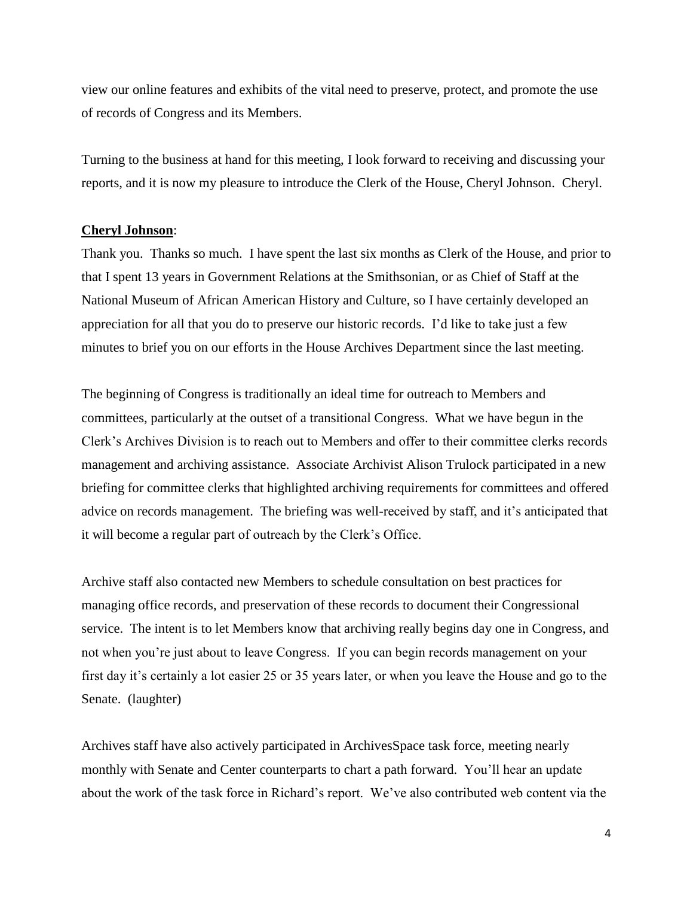view our online features and exhibits of the vital need to preserve, protect, and promote the use of records of Congress and its Members.

Turning to the business at hand for this meeting, I look forward to receiving and discussing your reports, and it is now my pleasure to introduce the Clerk of the House, Cheryl Johnson. Cheryl.

#### **Cheryl Johnson**:

Thank you. Thanks so much. I have spent the last six months as Clerk of the House, and prior to that I spent 13 years in Government Relations at the Smithsonian, or as Chief of Staff at the National Museum of African American History and Culture, so I have certainly developed an appreciation for all that you do to preserve our historic records. I'd like to take just a few minutes to brief you on our efforts in the House Archives Department since the last meeting.

The beginning of Congress is traditionally an ideal time for outreach to Members and committees, particularly at the outset of a transitional Congress. What we have begun in the Clerk's Archives Division is to reach out to Members and offer to their committee clerks records management and archiving assistance. Associate Archivist Alison Trulock participated in a new briefing for committee clerks that highlighted archiving requirements for committees and offered advice on records management. The briefing was well-received by staff, and it's anticipated that it will become a regular part of outreach by the Clerk's Office.

Archive staff also contacted new Members to schedule consultation on best practices for managing office records, and preservation of these records to document their Congressional service. The intent is to let Members know that archiving really begins day one in Congress, and not when you're just about to leave Congress. If you can begin records management on your first day it's certainly a lot easier 25 or 35 years later, or when you leave the House and go to the Senate. (laughter)

Archives staff have also actively participated in ArchivesSpace task force, meeting nearly monthly with Senate and Center counterparts to chart a path forward. You'll hear an update about the work of the task force in Richard's report. We've also contributed web content via the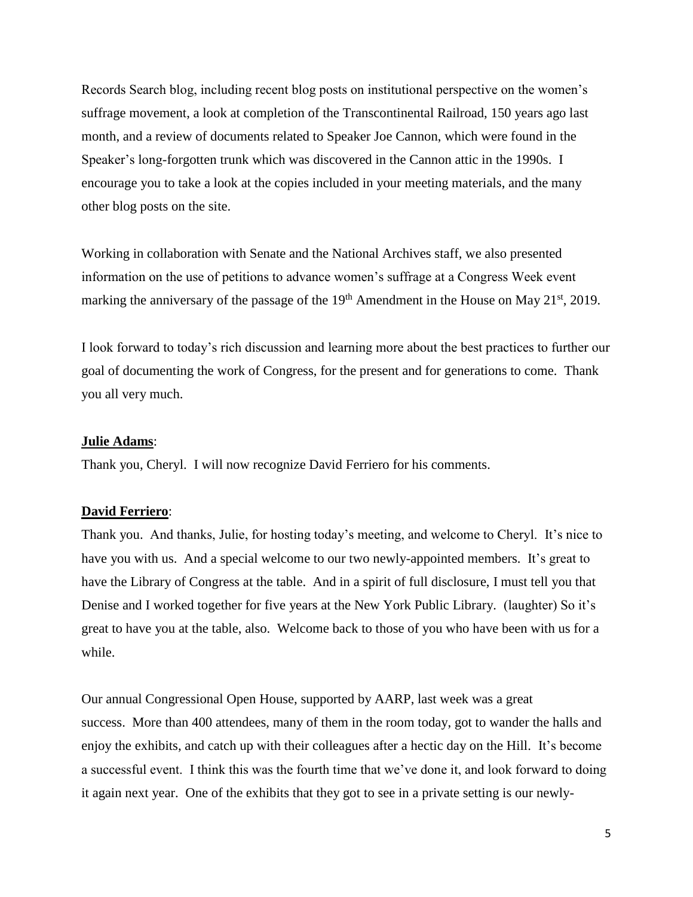Records Search blog, including recent blog posts on institutional perspective on the women's suffrage movement, a look at completion of the Transcontinental Railroad, 150 years ago last month, and a review of documents related to Speaker Joe Cannon, which were found in the Speaker's long-forgotten trunk which was discovered in the Cannon attic in the 1990s. I encourage you to take a look at the copies included in your meeting materials, and the many other blog posts on the site.

Working in collaboration with Senate and the National Archives staff, we also presented information on the use of petitions to advance women's suffrage at a Congress Week event marking the anniversary of the passage of the  $19<sup>th</sup>$  Amendment in the House on May 21<sup>st</sup>, 2019.

I look forward to today's rich discussion and learning more about the best practices to further our goal of documenting the work of Congress, for the present and for generations to come. Thank you all very much.

### **Julie Adams**:

Thank you, Cheryl. I will now recognize David Ferriero for his comments.

#### **David Ferriero**:

Thank you. And thanks, Julie, for hosting today's meeting, and welcome to Cheryl. It's nice to have you with us. And a special welcome to our two newly-appointed members. It's great to have the Library of Congress at the table. And in a spirit of full disclosure, I must tell you that Denise and I worked together for five years at the New York Public Library. (laughter) So it's great to have you at the table, also. Welcome back to those of you who have been with us for a while.

Our annual Congressional Open House, supported by AARP, last week was a great success. More than 400 attendees, many of them in the room today, got to wander the halls and enjoy the exhibits, and catch up with their colleagues after a hectic day on the Hill. It's become a successful event. I think this was the fourth time that we've done it, and look forward to doing it again next year. One of the exhibits that they got to see in a private setting is our newly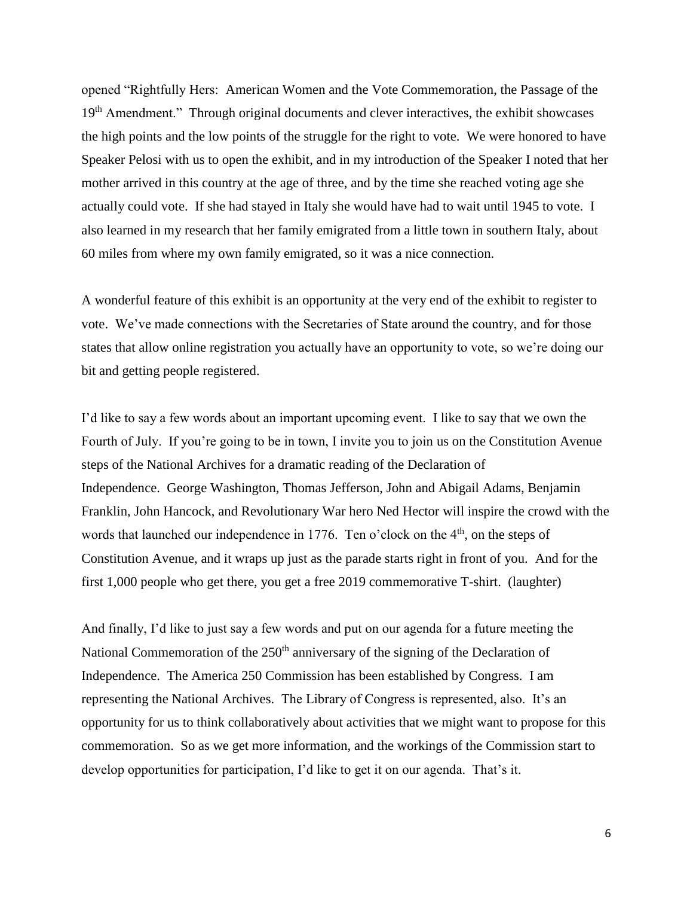opened "Rightfully Hers: American Women and the Vote Commemoration, the Passage of the 19<sup>th</sup> Amendment." Through original documents and clever interactives, the exhibit showcases the high points and the low points of the struggle for the right to vote. We were honored to have Speaker Pelosi with us to open the exhibit, and in my introduction of the Speaker I noted that her mother arrived in this country at the age of three, and by the time she reached voting age she actually could vote. If she had stayed in Italy she would have had to wait until 1945 to vote. I also learned in my research that her family emigrated from a little town in southern Italy, about 60 miles from where my own family emigrated, so it was a nice connection.

A wonderful feature of this exhibit is an opportunity at the very end of the exhibit to register to vote. We've made connections with the Secretaries of State around the country, and for those states that allow online registration you actually have an opportunity to vote, so we're doing our bit and getting people registered.

I'd like to say a few words about an important upcoming event. I like to say that we own the Fourth of July. If you're going to be in town, I invite you to join us on the Constitution Avenue steps of the National Archives for a dramatic reading of the Declaration of Independence. George Washington, Thomas Jefferson, John and Abigail Adams, Benjamin Franklin, John Hancock, and Revolutionary War hero Ned Hector will inspire the crowd with the words that launched our independence in 1776. Ten o'clock on the 4<sup>th</sup>, on the steps of Constitution Avenue, and it wraps up just as the parade starts right in front of you. And for the first 1,000 people who get there, you get a free 2019 commemorative T-shirt. (laughter)

And finally, I'd like to just say a few words and put on our agenda for a future meeting the National Commemoration of the  $250<sup>th</sup>$  anniversary of the signing of the Declaration of Independence. The America 250 Commission has been established by Congress. I am representing the National Archives. The Library of Congress is represented, also. It's an opportunity for us to think collaboratively about activities that we might want to propose for this commemoration. So as we get more information, and the workings of the Commission start to develop opportunities for participation, I'd like to get it on our agenda. That's it.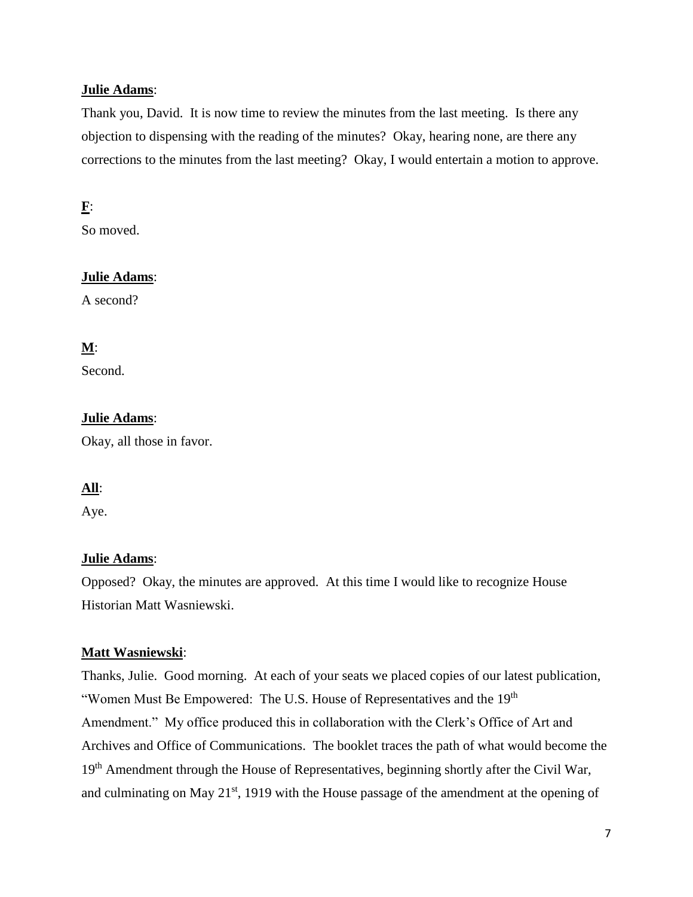## **Julie Adams**:

Thank you, David. It is now time to review the minutes from the last meeting. Is there any objection to dispensing with the reading of the minutes? Okay, hearing none, are there any corrections to the minutes from the last meeting? Okay, I would entertain a motion to approve.

# **F**:

So moved.

# **Julie Adams**:

A second?

# **M**:

Second.

# **Julie Adams**:

Okay, all those in favor.

# **All**:

Aye.

# **Julie Adams**:

Opposed? Okay, the minutes are approved. At this time I would like to recognize House Historian Matt Wasniewski.

# **Matt Wasniewski**:

Thanks, Julie. Good morning. At each of your seats we placed copies of our latest publication, "Women Must Be Empowered: The U.S. House of Representatives and the 19<sup>th</sup> Amendment." My office produced this in collaboration with the Clerk's Office of Art and Archives and Office of Communications. The booklet traces the path of what would become the 19<sup>th</sup> Amendment through the House of Representatives, beginning shortly after the Civil War, and culminating on May 21<sup>st</sup>, 1919 with the House passage of the amendment at the opening of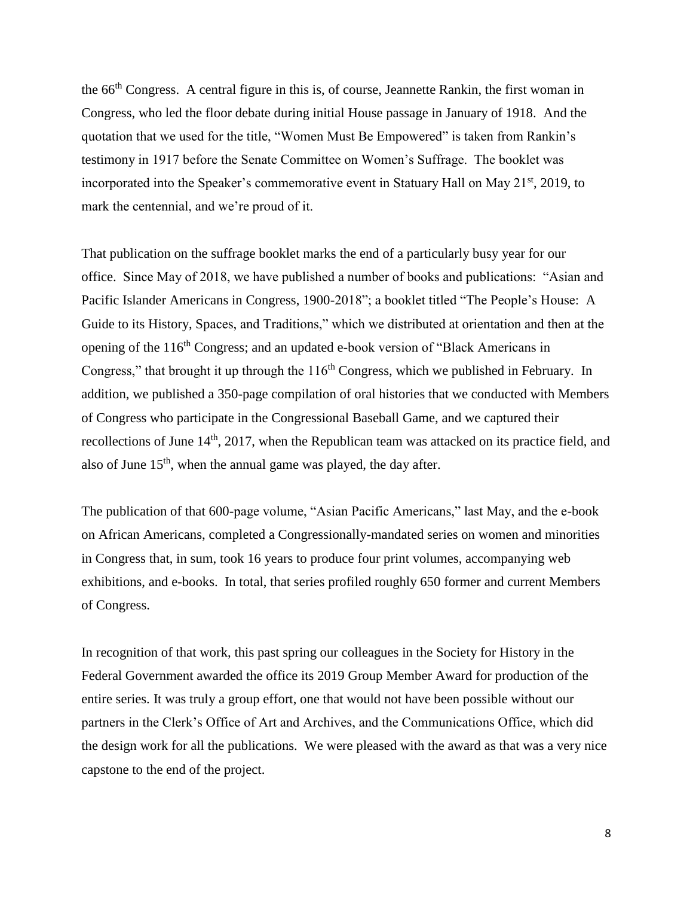the 66th Congress. A central figure in this is, of course, Jeannette Rankin, the first woman in Congress, who led the floor debate during initial House passage in January of 1918. And the quotation that we used for the title, "Women Must Be Empowered" is taken from Rankin's testimony in 1917 before the Senate Committee on Women's Suffrage. The booklet was incorporated into the Speaker's commemorative event in Statuary Hall on May 21<sup>st</sup>, 2019, to mark the centennial, and we're proud of it.

That publication on the suffrage booklet marks the end of a particularly busy year for our office. Since May of 2018, we have published a number of books and publications: "Asian and Pacific Islander Americans in Congress, 1900-2018"; a booklet titled "The People's House: A Guide to its History, Spaces, and Traditions," which we distributed at orientation and then at the opening of the 116<sup>th</sup> Congress; and an updated e-book version of "Black Americans in Congress," that brought it up through the  $116<sup>th</sup>$  Congress, which we published in February. In addition, we published a 350-page compilation of oral histories that we conducted with Members of Congress who participate in the Congressional Baseball Game, and we captured their recollections of June 14<sup>th</sup>, 2017, when the Republican team was attacked on its practice field, and also of June  $15<sup>th</sup>$ , when the annual game was played, the day after.

The publication of that 600-page volume, "Asian Pacific Americans," last May, and the e-book on African Americans, completed a Congressionally-mandated series on women and minorities in Congress that, in sum, took 16 years to produce four print volumes, accompanying web exhibitions, and e-books. In total, that series profiled roughly 650 former and current Members of Congress.

In recognition of that work, this past spring our colleagues in the Society for History in the Federal Government awarded the office its 2019 Group Member Award for production of the entire series. It was truly a group effort, one that would not have been possible without our partners in the Clerk's Office of Art and Archives, and the Communications Office, which did the design work for all the publications. We were pleased with the award as that was a very nice capstone to the end of the project.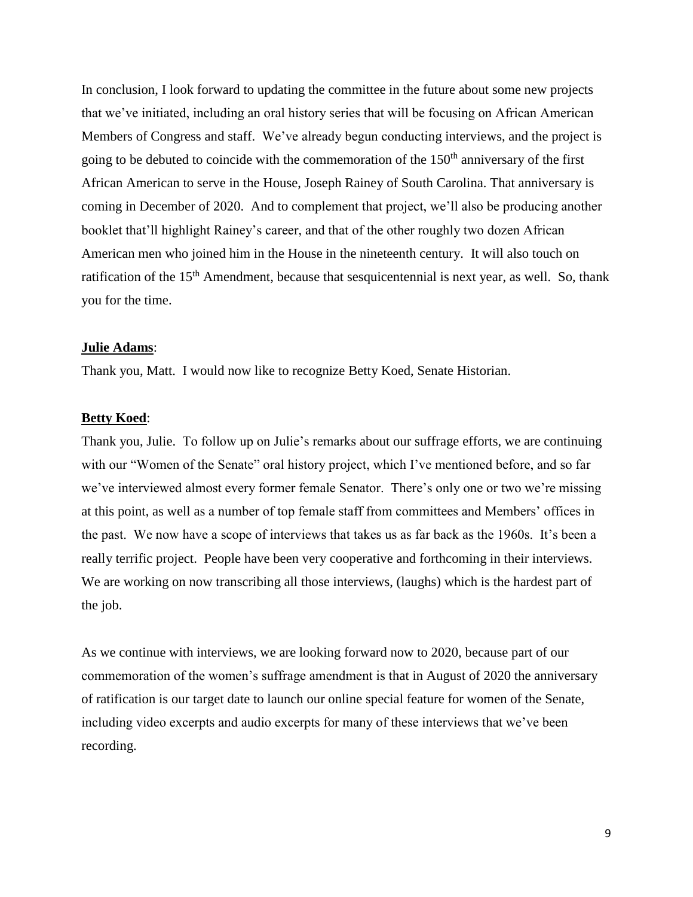In conclusion, I look forward to updating the committee in the future about some new projects that we've initiated, including an oral history series that will be focusing on African American Members of Congress and staff. We've already begun conducting interviews, and the project is going to be debuted to coincide with the commemoration of the  $150<sup>th</sup>$  anniversary of the first African American to serve in the House, Joseph Rainey of South Carolina. That anniversary is coming in December of 2020. And to complement that project, we'll also be producing another booklet that'll highlight Rainey's career, and that of the other roughly two dozen African American men who joined him in the House in the nineteenth century. It will also touch on ratification of the 15<sup>th</sup> Amendment, because that sesquicentennial is next year, as well. So, thank you for the time.

#### **Julie Adams**:

Thank you, Matt. I would now like to recognize Betty Koed, Senate Historian.

#### **Betty Koed**:

Thank you, Julie. To follow up on Julie's remarks about our suffrage efforts, we are continuing with our "Women of the Senate" oral history project, which I've mentioned before, and so far we've interviewed almost every former female Senator. There's only one or two we're missing at this point, as well as a number of top female staff from committees and Members' offices in the past. We now have a scope of interviews that takes us as far back as the 1960s. It's been a really terrific project. People have been very cooperative and forthcoming in their interviews. We are working on now transcribing all those interviews, (laughs) which is the hardest part of the job.

As we continue with interviews, we are looking forward now to 2020, because part of our commemoration of the women's suffrage amendment is that in August of 2020 the anniversary of ratification is our target date to launch our online special feature for women of the Senate, including video excerpts and audio excerpts for many of these interviews that we've been recording.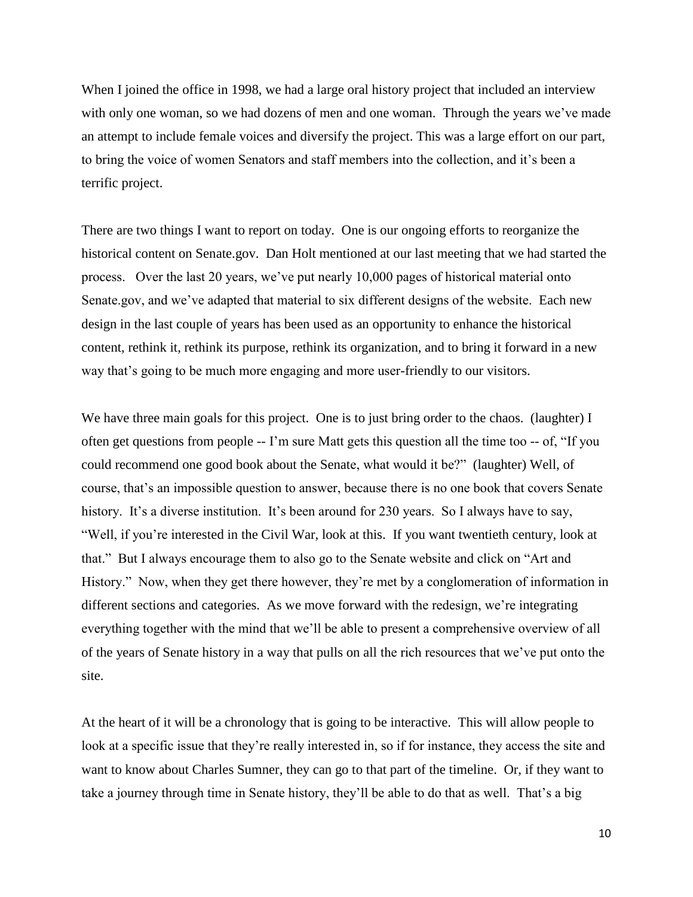When I joined the office in 1998, we had a large oral history project that included an interview with only one woman, so we had dozens of men and one woman. Through the years we've made an attempt to include female voices and diversify the project. This was a large effort on our part, to bring the voice of women Senators and staff members into the collection, and it's been a terrific project.

There are two things I want to report on today. One is our ongoing efforts to reorganize the historical content on Senate.gov. Dan Holt mentioned at our last meeting that we had started the process. Over the last 20 years, we've put nearly 10,000 pages of historical material onto Senate.gov, and we've adapted that material to six different designs of the website. Each new design in the last couple of years has been used as an opportunity to enhance the historical content, rethink it, rethink its purpose, rethink its organization, and to bring it forward in a new way that's going to be much more engaging and more user-friendly to our visitors.

We have three main goals for this project. One is to just bring order to the chaos. (laughter) I often get questions from people -- I'm sure Matt gets this question all the time too -- of, "If you could recommend one good book about the Senate, what would it be?" (laughter) Well, of course, that's an impossible question to answer, because there is no one book that covers Senate history. It's a diverse institution. It's been around for 230 years. So I always have to say, "Well, if you're interested in the Civil War, look at this. If you want twentieth century, look at that." But I always encourage them to also go to the Senate website and click on "Art and History." Now, when they get there however, they're met by a conglomeration of information in different sections and categories. As we move forward with the redesign, we're integrating everything together with the mind that we'll be able to present a comprehensive overview of all of the years of Senate history in a way that pulls on all the rich resources that we've put onto the site.

At the heart of it will be a chronology that is going to be interactive. This will allow people to look at a specific issue that they're really interested in, so if for instance, they access the site and want to know about Charles Sumner, they can go to that part of the timeline. Or, if they want to take a journey through time in Senate history, they'll be able to do that as well. That's a big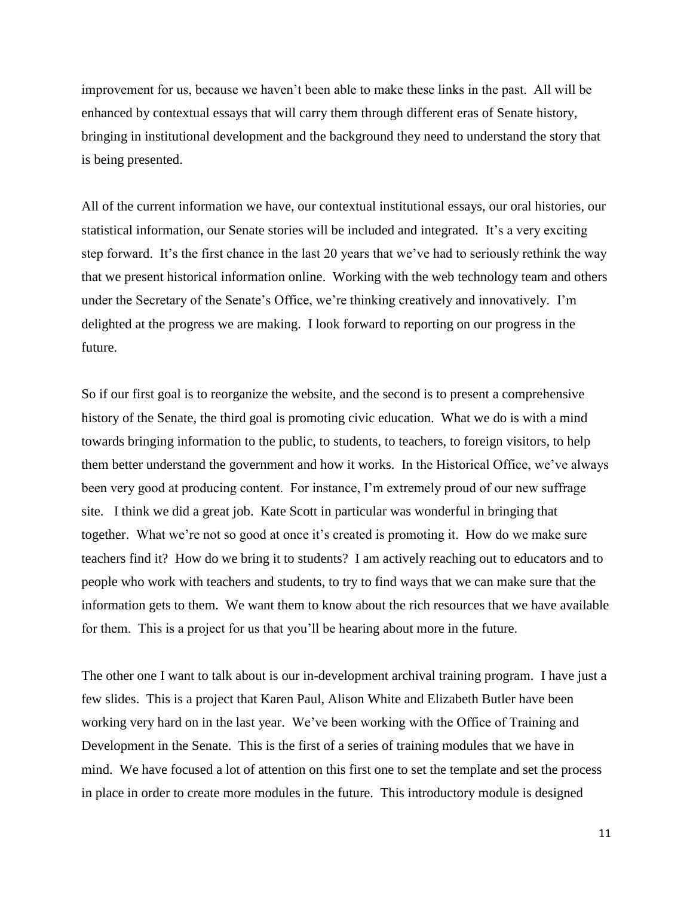improvement for us, because we haven't been able to make these links in the past. All will be enhanced by contextual essays that will carry them through different eras of Senate history, bringing in institutional development and the background they need to understand the story that is being presented.

All of the current information we have, our contextual institutional essays, our oral histories, our statistical information, our Senate stories will be included and integrated. It's a very exciting step forward. It's the first chance in the last 20 years that we've had to seriously rethink the way that we present historical information online. Working with the web technology team and others under the Secretary of the Senate's Office, we're thinking creatively and innovatively. I'm delighted at the progress we are making. I look forward to reporting on our progress in the future.

So if our first goal is to reorganize the website, and the second is to present a comprehensive history of the Senate, the third goal is promoting civic education. What we do is with a mind towards bringing information to the public, to students, to teachers, to foreign visitors, to help them better understand the government and how it works. In the Historical Office, we've always been very good at producing content. For instance, I'm extremely proud of our new suffrage site. I think we did a great job. Kate Scott in particular was wonderful in bringing that together. What we're not so good at once it's created is promoting it. How do we make sure teachers find it? How do we bring it to students? I am actively reaching out to educators and to people who work with teachers and students, to try to find ways that we can make sure that the information gets to them. We want them to know about the rich resources that we have available for them. This is a project for us that you'll be hearing about more in the future.

The other one I want to talk about is our in-development archival training program. I have just a few slides. This is a project that Karen Paul, Alison White and Elizabeth Butler have been working very hard on in the last year. We've been working with the Office of Training and Development in the Senate. This is the first of a series of training modules that we have in mind. We have focused a lot of attention on this first one to set the template and set the process in place in order to create more modules in the future. This introductory module is designed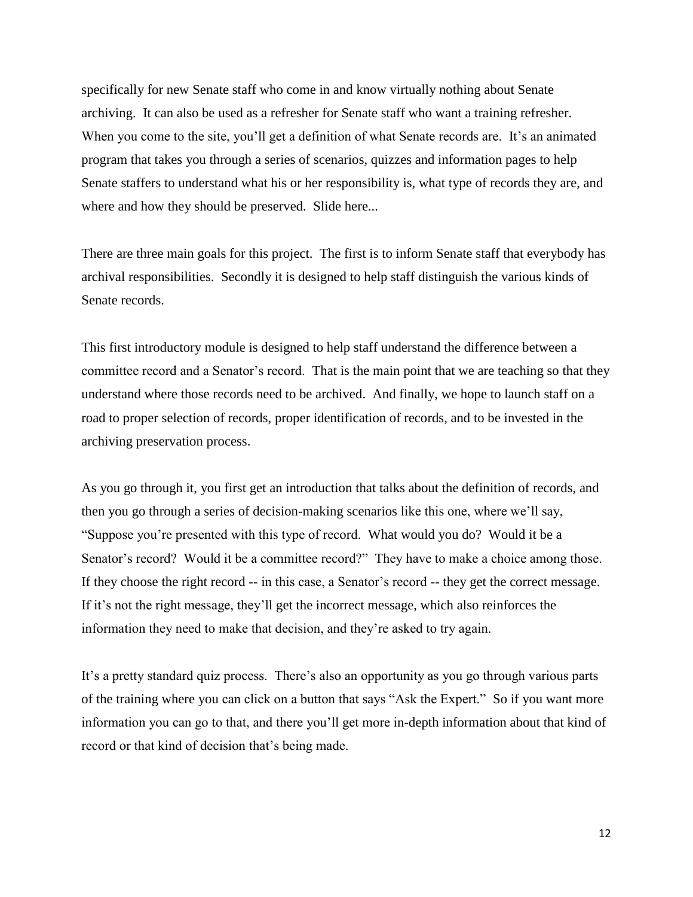specifically for new Senate staff who come in and know virtually nothing about Senate archiving. It can also be used as a refresher for Senate staff who want a training refresher. When you come to the site, you'll get a definition of what Senate records are. It's an animated program that takes you through a series of scenarios, quizzes and information pages to help Senate staffers to understand what his or her responsibility is, what type of records they are, and where and how they should be preserved. Slide here...

There are three main goals for this project. The first is to inform Senate staff that everybody has archival responsibilities. Secondly it is designed to help staff distinguish the various kinds of Senate records.

This first introductory module is designed to help staff understand the difference between a committee record and a Senator's record. That is the main point that we are teaching so that they understand where those records need to be archived. And finally, we hope to launch staff on a road to proper selection of records, proper identification of records, and to be invested in the archiving preservation process.

As you go through it, you first get an introduction that talks about the definition of records, and then you go through a series of decision-making scenarios like this one, where we'll say, "Suppose you're presented with this type of record. What would you do? Would it be a Senator's record? Would it be a committee record?" They have to make a choice among those. If they choose the right record -- in this case, a Senator's record -- they get the correct message. If it's not the right message, they'll get the incorrect message, which also reinforces the information they need to make that decision, and they're asked to try again.

It's a pretty standard quiz process. There's also an opportunity as you go through various parts of the training where you can click on a button that says "Ask the Expert." So if you want more information you can go to that, and there you'll get more in-depth information about that kind of record or that kind of decision that's being made.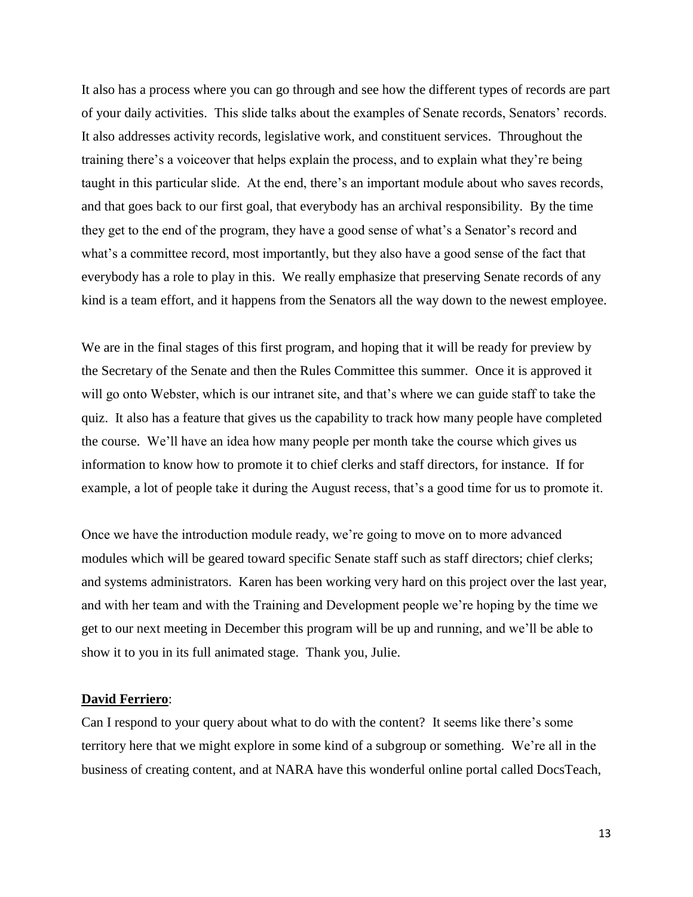It also has a process where you can go through and see how the different types of records are part of your daily activities. This slide talks about the examples of Senate records, Senators' records. It also addresses activity records, legislative work, and constituent services. Throughout the training there's a voiceover that helps explain the process, and to explain what they're being taught in this particular slide. At the end, there's an important module about who saves records, and that goes back to our first goal, that everybody has an archival responsibility. By the time they get to the end of the program, they have a good sense of what's a Senator's record and what's a committee record, most importantly, but they also have a good sense of the fact that everybody has a role to play in this. We really emphasize that preserving Senate records of any kind is a team effort, and it happens from the Senators all the way down to the newest employee.

We are in the final stages of this first program, and hoping that it will be ready for preview by the Secretary of the Senate and then the Rules Committee this summer. Once it is approved it will go onto Webster, which is our intranet site, and that's where we can guide staff to take the quiz. It also has a feature that gives us the capability to track how many people have completed the course. We'll have an idea how many people per month take the course which gives us information to know how to promote it to chief clerks and staff directors, for instance. If for example, a lot of people take it during the August recess, that's a good time for us to promote it.

Once we have the introduction module ready, we're going to move on to more advanced modules which will be geared toward specific Senate staff such as staff directors; chief clerks; and systems administrators. Karen has been working very hard on this project over the last year, and with her team and with the Training and Development people we're hoping by the time we get to our next meeting in December this program will be up and running, and we'll be able to show it to you in its full animated stage. Thank you, Julie.

#### **David Ferriero**:

Can I respond to your query about what to do with the content? It seems like there's some territory here that we might explore in some kind of a subgroup or something. We're all in the business of creating content, and at NARA have this wonderful online portal called DocsTeach,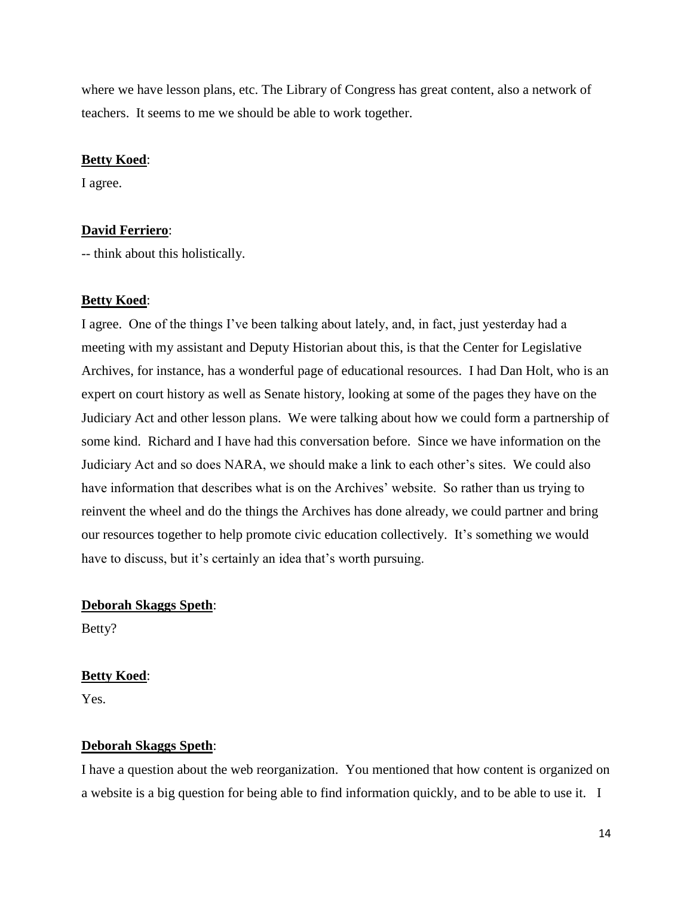where we have lesson plans, etc. The Library of Congress has great content, also a network of teachers. It seems to me we should be able to work together.

#### **Betty Koed**:

I agree.

#### **David Ferriero**:

-- think about this holistically.

#### **Betty Koed**:

I agree. One of the things I've been talking about lately, and, in fact, just yesterday had a meeting with my assistant and Deputy Historian about this, is that the Center for Legislative Archives, for instance, has a wonderful page of educational resources. I had Dan Holt, who is an expert on court history as well as Senate history, looking at some of the pages they have on the Judiciary Act and other lesson plans. We were talking about how we could form a partnership of some kind. Richard and I have had this conversation before. Since we have information on the Judiciary Act and so does NARA, we should make a link to each other's sites. We could also have information that describes what is on the Archives' website. So rather than us trying to reinvent the wheel and do the things the Archives has done already, we could partner and bring our resources together to help promote civic education collectively. It's something we would have to discuss, but it's certainly an idea that's worth pursuing.

## **Deborah Skaggs Speth**:

Betty?

#### **Betty Koed**:

Yes.

#### **Deborah Skaggs Speth**:

I have a question about the web reorganization. You mentioned that how content is organized on a website is a big question for being able to find information quickly, and to be able to use it. I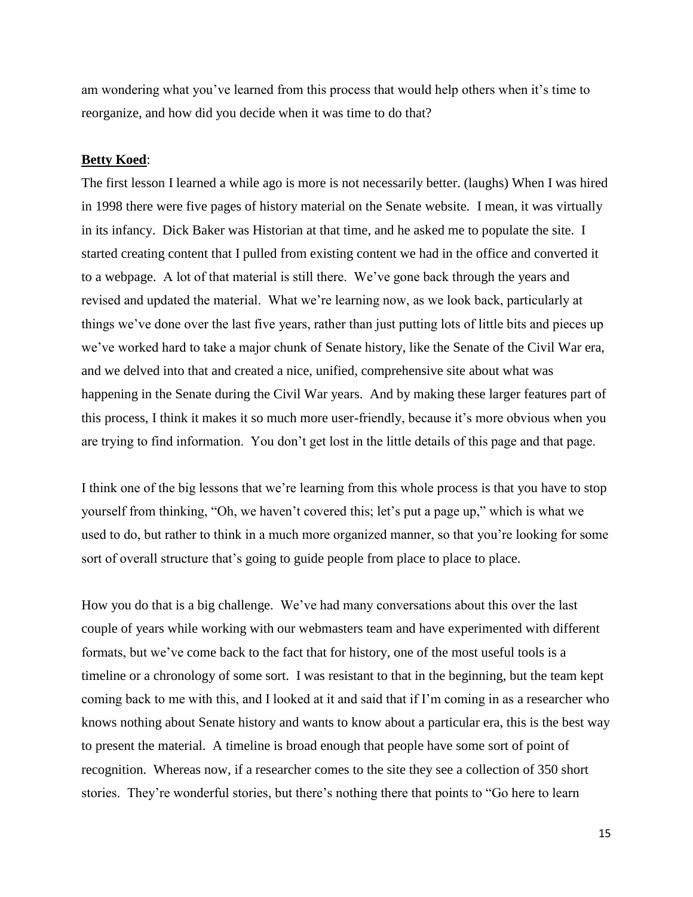am wondering what you've learned from this process that would help others when it's time to reorganize, and how did you decide when it was time to do that?

#### **Betty Koed**:

The first lesson I learned a while ago is more is not necessarily better. (laughs) When I was hired in 1998 there were five pages of history material on the Senate website. I mean, it was virtually in its infancy. Dick Baker was Historian at that time, and he asked me to populate the site. I started creating content that I pulled from existing content we had in the office and converted it to a webpage. A lot of that material is still there. We've gone back through the years and revised and updated the material. What we're learning now, as we look back, particularly at things we've done over the last five years, rather than just putting lots of little bits and pieces up we've worked hard to take a major chunk of Senate history, like the Senate of the Civil War era, and we delved into that and created a nice, unified, comprehensive site about what was happening in the Senate during the Civil War years. And by making these larger features part of this process, I think it makes it so much more user-friendly, because it's more obvious when you are trying to find information. You don't get lost in the little details of this page and that page.

I think one of the big lessons that we're learning from this whole process is that you have to stop yourself from thinking, "Oh, we haven't covered this; let's put a page up," which is what we used to do, but rather to think in a much more organized manner, so that you're looking for some sort of overall structure that's going to guide people from place to place to place.

How you do that is a big challenge. We've had many conversations about this over the last couple of years while working with our webmasters team and have experimented with different formats, but we've come back to the fact that for history, one of the most useful tools is a timeline or a chronology of some sort. I was resistant to that in the beginning, but the team kept coming back to me with this, and I looked at it and said that if I'm coming in as a researcher who knows nothing about Senate history and wants to know about a particular era, this is the best way to present the material. A timeline is broad enough that people have some sort of point of recognition. Whereas now, if a researcher comes to the site they see a collection of 350 short stories. They're wonderful stories, but there's nothing there that points to "Go here to learn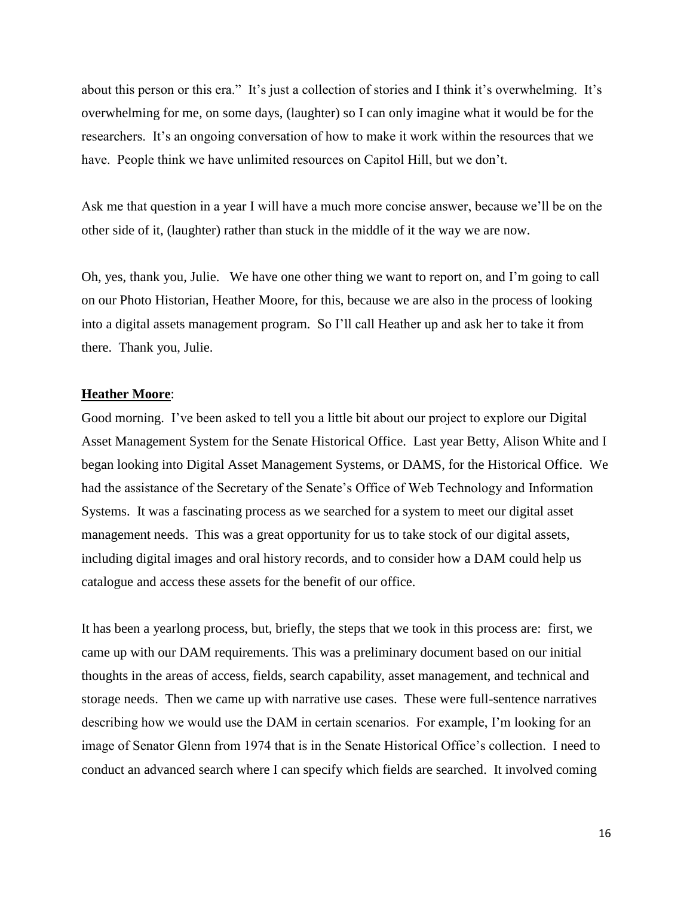about this person or this era." It's just a collection of stories and I think it's overwhelming. It's overwhelming for me, on some days, (laughter) so I can only imagine what it would be for the researchers. It's an ongoing conversation of how to make it work within the resources that we have. People think we have unlimited resources on Capitol Hill, but we don't.

Ask me that question in a year I will have a much more concise answer, because we'll be on the other side of it, (laughter) rather than stuck in the middle of it the way we are now.

Oh, yes, thank you, Julie. We have one other thing we want to report on, and I'm going to call on our Photo Historian, Heather Moore, for this, because we are also in the process of looking into a digital assets management program. So I'll call Heather up and ask her to take it from there. Thank you, Julie.

#### **Heather Moore**:

Good morning. I've been asked to tell you a little bit about our project to explore our Digital Asset Management System for the Senate Historical Office. Last year Betty, Alison White and I began looking into Digital Asset Management Systems, or DAMS, for the Historical Office. We had the assistance of the Secretary of the Senate's Office of Web Technology and Information Systems. It was a fascinating process as we searched for a system to meet our digital asset management needs. This was a great opportunity for us to take stock of our digital assets, including digital images and oral history records, and to consider how a DAM could help us catalogue and access these assets for the benefit of our office.

It has been a yearlong process, but, briefly, the steps that we took in this process are: first, we came up with our DAM requirements. This was a preliminary document based on our initial thoughts in the areas of access, fields, search capability, asset management, and technical and storage needs. Then we came up with narrative use cases. These were full-sentence narratives describing how we would use the DAM in certain scenarios. For example, I'm looking for an image of Senator Glenn from 1974 that is in the Senate Historical Office's collection. I need to conduct an advanced search where I can specify which fields are searched. It involved coming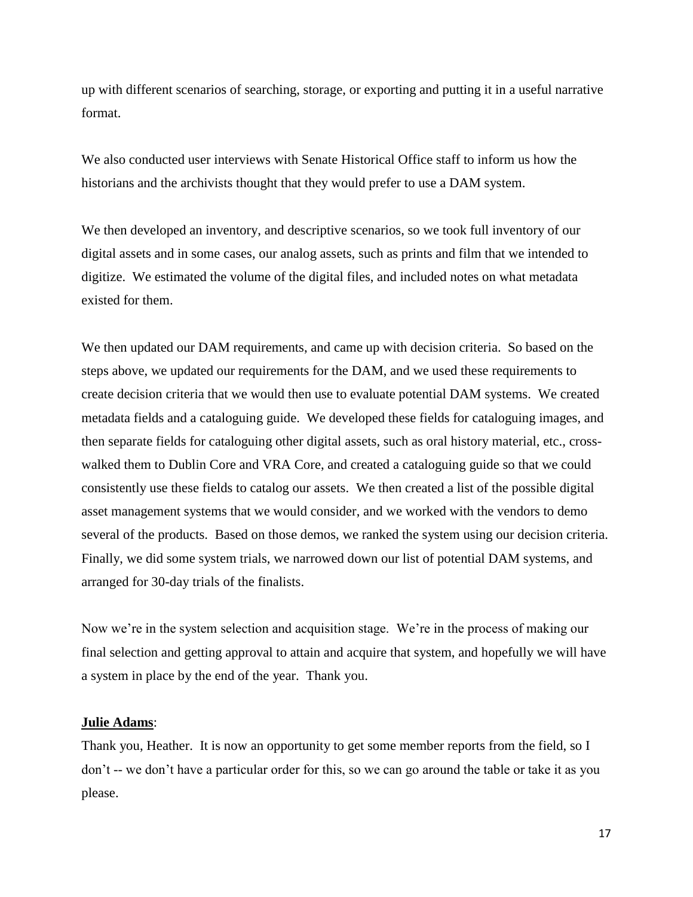up with different scenarios of searching, storage, or exporting and putting it in a useful narrative format.

We also conducted user interviews with Senate Historical Office staff to inform us how the historians and the archivists thought that they would prefer to use a DAM system.

We then developed an inventory, and descriptive scenarios, so we took full inventory of our digital assets and in some cases, our analog assets, such as prints and film that we intended to digitize. We estimated the volume of the digital files, and included notes on what metadata existed for them.

We then updated our DAM requirements, and came up with decision criteria. So based on the steps above, we updated our requirements for the DAM, and we used these requirements to create decision criteria that we would then use to evaluate potential DAM systems. We created metadata fields and a cataloguing guide. We developed these fields for cataloguing images, and then separate fields for cataloguing other digital assets, such as oral history material, etc., crosswalked them to Dublin Core and VRA Core, and created a cataloguing guide so that we could consistently use these fields to catalog our assets. We then created a list of the possible digital asset management systems that we would consider, and we worked with the vendors to demo several of the products. Based on those demos, we ranked the system using our decision criteria. Finally, we did some system trials, we narrowed down our list of potential DAM systems, and arranged for 30-day trials of the finalists.

Now we're in the system selection and acquisition stage. We're in the process of making our final selection and getting approval to attain and acquire that system, and hopefully we will have a system in place by the end of the year. Thank you.

#### **Julie Adams**:

Thank you, Heather. It is now an opportunity to get some member reports from the field, so I don't -- we don't have a particular order for this, so we can go around the table or take it as you please.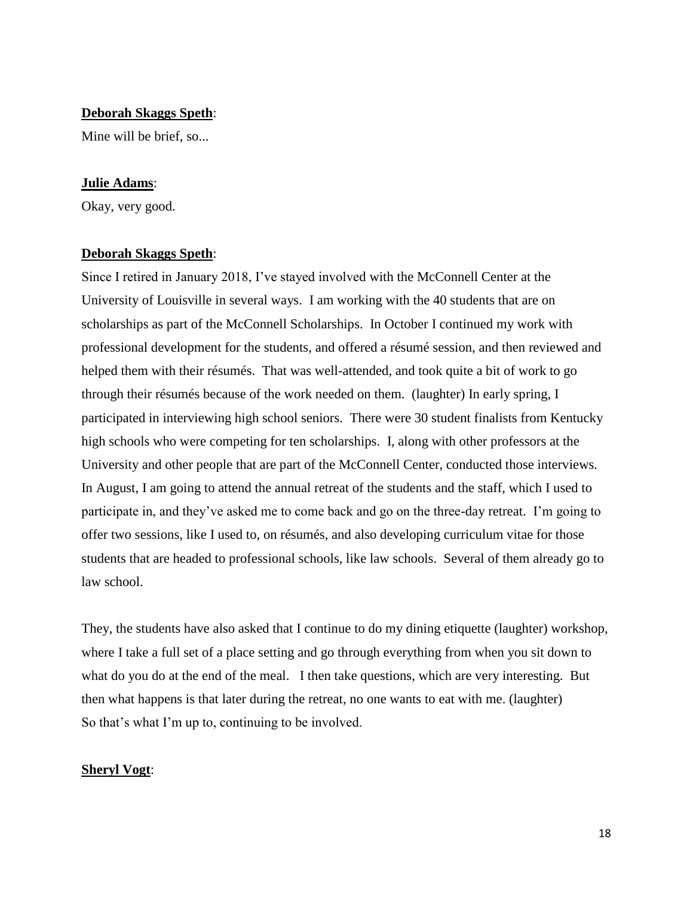#### **Deborah Skaggs Speth**:

Mine will be brief, so...

#### **Julie Adams**:

Okay, very good.

### **Deborah Skaggs Speth**:

Since I retired in January 2018, I've stayed involved with the McConnell Center at the University of Louisville in several ways. I am working with the 40 students that are on scholarships as part of the McConnell Scholarships. In October I continued my work with professional development for the students, and offered a résumé session, and then reviewed and helped them with their résumés. That was well-attended, and took quite a bit of work to go through their résumés because of the work needed on them. (laughter) In early spring, I participated in interviewing high school seniors. There were 30 student finalists from Kentucky high schools who were competing for ten scholarships. I, along with other professors at the University and other people that are part of the McConnell Center, conducted those interviews. In August, I am going to attend the annual retreat of the students and the staff, which I used to participate in, and they've asked me to come back and go on the three-day retreat. I'm going to offer two sessions, like I used to, on résumés, and also developing curriculum vitae for those students that are headed to professional schools, like law schools. Several of them already go to law school.

They, the students have also asked that I continue to do my dining etiquette (laughter) workshop, where I take a full set of a place setting and go through everything from when you sit down to what do you do at the end of the meal. I then take questions, which are very interesting. But then what happens is that later during the retreat, no one wants to eat with me. (laughter) So that's what I'm up to, continuing to be involved.

#### **Sheryl Vogt**: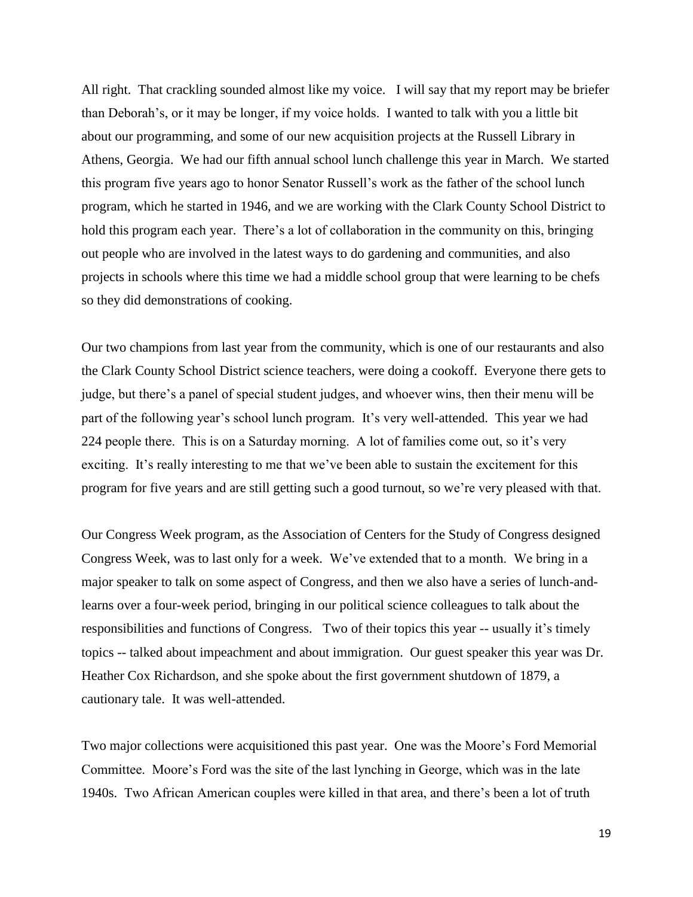All right. That crackling sounded almost like my voice. I will say that my report may be briefer than Deborah's, or it may be longer, if my voice holds. I wanted to talk with you a little bit about our programming, and some of our new acquisition projects at the Russell Library in Athens, Georgia. We had our fifth annual school lunch challenge this year in March. We started this program five years ago to honor Senator Russell's work as the father of the school lunch program, which he started in 1946, and we are working with the Clark County School District to hold this program each year. There's a lot of collaboration in the community on this, bringing out people who are involved in the latest ways to do gardening and communities, and also projects in schools where this time we had a middle school group that were learning to be chefs so they did demonstrations of cooking.

Our two champions from last year from the community, which is one of our restaurants and also the Clark County School District science teachers, were doing a cookoff. Everyone there gets to judge, but there's a panel of special student judges, and whoever wins, then their menu will be part of the following year's school lunch program. It's very well-attended. This year we had 224 people there. This is on a Saturday morning. A lot of families come out, so it's very exciting. It's really interesting to me that we've been able to sustain the excitement for this program for five years and are still getting such a good turnout, so we're very pleased with that.

Our Congress Week program, as the Association of Centers for the Study of Congress designed Congress Week, was to last only for a week. We've extended that to a month. We bring in a major speaker to talk on some aspect of Congress, and then we also have a series of lunch-andlearns over a four-week period, bringing in our political science colleagues to talk about the responsibilities and functions of Congress. Two of their topics this year -- usually it's timely topics -- talked about impeachment and about immigration. Our guest speaker this year was Dr. Heather Cox Richardson, and she spoke about the first government shutdown of 1879, a cautionary tale. It was well-attended.

Two major collections were acquisitioned this past year. One was the Moore's Ford Memorial Committee. Moore's Ford was the site of the last lynching in George, which was in the late 1940s. Two African American couples were killed in that area, and there's been a lot of truth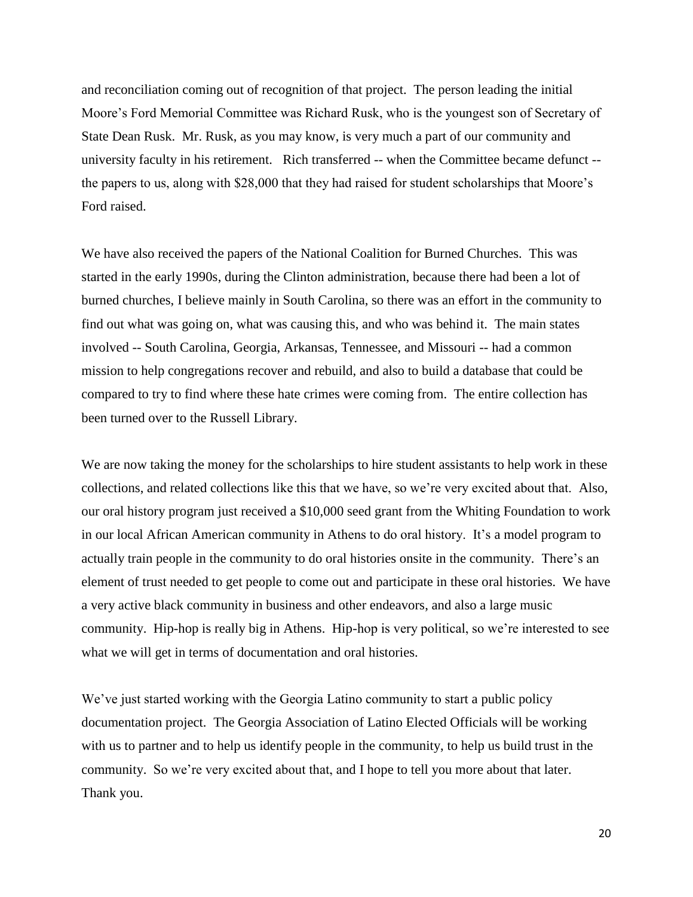and reconciliation coming out of recognition of that project. The person leading the initial Moore's Ford Memorial Committee was Richard Rusk, who is the youngest son of Secretary of State Dean Rusk. Mr. Rusk, as you may know, is very much a part of our community and university faculty in his retirement. Rich transferred -- when the Committee became defunct - the papers to us, along with \$28,000 that they had raised for student scholarships that Moore's Ford raised.

We have also received the papers of the National Coalition for Burned Churches. This was started in the early 1990s, during the Clinton administration, because there had been a lot of burned churches, I believe mainly in South Carolina, so there was an effort in the community to find out what was going on, what was causing this, and who was behind it. The main states involved -- South Carolina, Georgia, Arkansas, Tennessee, and Missouri -- had a common mission to help congregations recover and rebuild, and also to build a database that could be compared to try to find where these hate crimes were coming from. The entire collection has been turned over to the Russell Library.

We are now taking the money for the scholarships to hire student assistants to help work in these collections, and related collections like this that we have, so we're very excited about that. Also, our oral history program just received a \$10,000 seed grant from the Whiting Foundation to work in our local African American community in Athens to do oral history. It's a model program to actually train people in the community to do oral histories onsite in the community. There's an element of trust needed to get people to come out and participate in these oral histories. We have a very active black community in business and other endeavors, and also a large music community. Hip-hop is really big in Athens. Hip-hop is very political, so we're interested to see what we will get in terms of documentation and oral histories.

We've just started working with the Georgia Latino community to start a public policy documentation project. The Georgia Association of Latino Elected Officials will be working with us to partner and to help us identify people in the community, to help us build trust in the community. So we're very excited about that, and I hope to tell you more about that later. Thank you.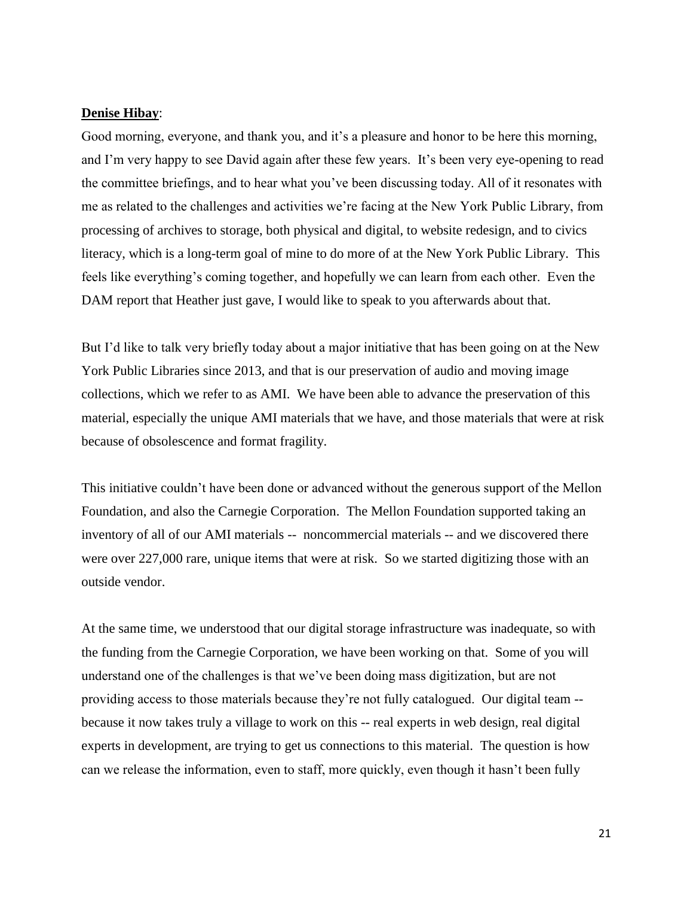#### **Denise Hibay**:

Good morning, everyone, and thank you, and it's a pleasure and honor to be here this morning, and I'm very happy to see David again after these few years. It's been very eye-opening to read the committee briefings, and to hear what you've been discussing today. All of it resonates with me as related to the challenges and activities we're facing at the New York Public Library, from processing of archives to storage, both physical and digital, to website redesign, and to civics literacy, which is a long-term goal of mine to do more of at the New York Public Library. This feels like everything's coming together, and hopefully we can learn from each other. Even the DAM report that Heather just gave, I would like to speak to you afterwards about that.

But I'd like to talk very briefly today about a major initiative that has been going on at the New York Public Libraries since 2013, and that is our preservation of audio and moving image collections, which we refer to as AMI. We have been able to advance the preservation of this material, especially the unique AMI materials that we have, and those materials that were at risk because of obsolescence and format fragility.

This initiative couldn't have been done or advanced without the generous support of the Mellon Foundation, and also the Carnegie Corporation. The Mellon Foundation supported taking an inventory of all of our AMI materials -- noncommercial materials -- and we discovered there were over 227,000 rare, unique items that were at risk. So we started digitizing those with an outside vendor.

At the same time, we understood that our digital storage infrastructure was inadequate, so with the funding from the Carnegie Corporation, we have been working on that. Some of you will understand one of the challenges is that we've been doing mass digitization, but are not providing access to those materials because they're not fully catalogued. Our digital team - because it now takes truly a village to work on this -- real experts in web design, real digital experts in development, are trying to get us connections to this material. The question is how can we release the information, even to staff, more quickly, even though it hasn't been fully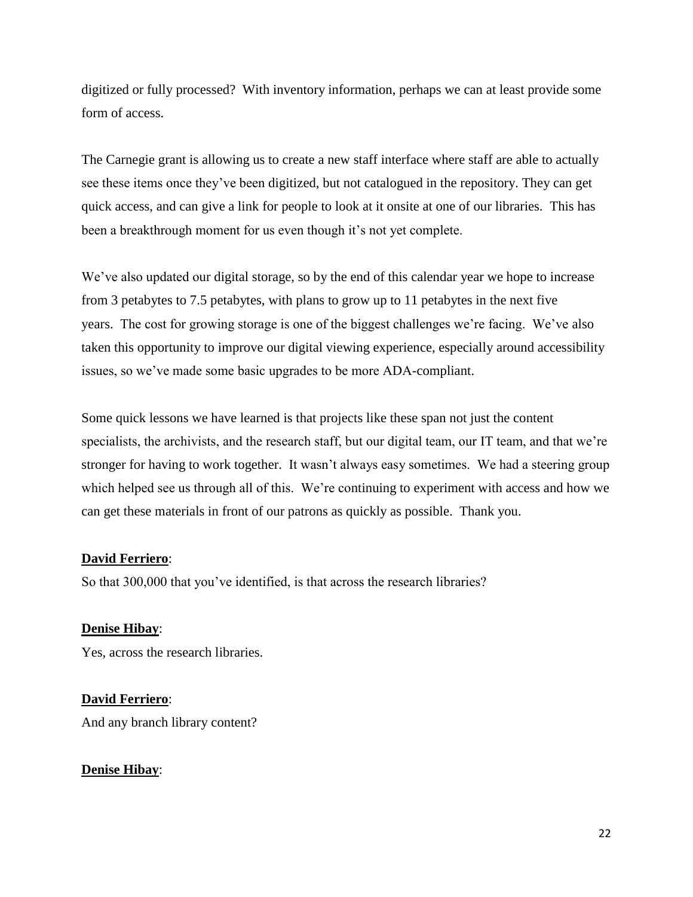digitized or fully processed? With inventory information, perhaps we can at least provide some form of access.

The Carnegie grant is allowing us to create a new staff interface where staff are able to actually see these items once they've been digitized, but not catalogued in the repository. They can get quick access, and can give a link for people to look at it onsite at one of our libraries. This has been a breakthrough moment for us even though it's not yet complete.

We've also updated our digital storage, so by the end of this calendar year we hope to increase from 3 petabytes to 7.5 petabytes, with plans to grow up to 11 petabytes in the next five years. The cost for growing storage is one of the biggest challenges we're facing. We've also taken this opportunity to improve our digital viewing experience, especially around accessibility issues, so we've made some basic upgrades to be more ADA-compliant.

Some quick lessons we have learned is that projects like these span not just the content specialists, the archivists, and the research staff, but our digital team, our IT team, and that we're stronger for having to work together. It wasn't always easy sometimes. We had a steering group which helped see us through all of this. We're continuing to experiment with access and how we can get these materials in front of our patrons as quickly as possible. Thank you.

## **David Ferriero**:

So that 300,000 that you've identified, is that across the research libraries?

## **Denise Hibay**:

Yes, across the research libraries.

**David Ferriero**: And any branch library content?

#### **Denise Hibay**: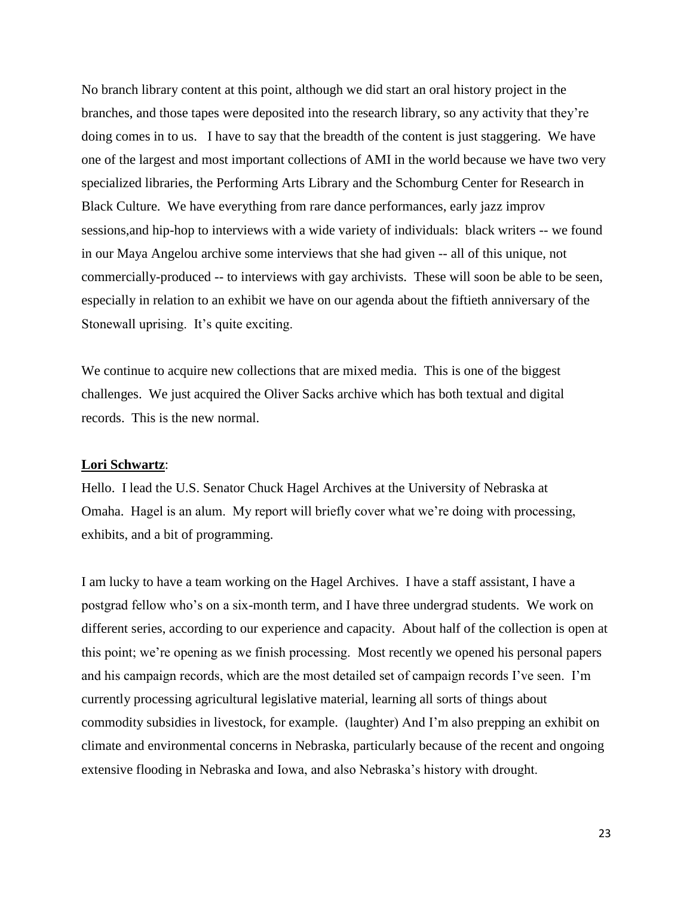No branch library content at this point, although we did start an oral history project in the branches, and those tapes were deposited into the research library, so any activity that they're doing comes in to us. I have to say that the breadth of the content is just staggering. We have one of the largest and most important collections of AMI in the world because we have two very specialized libraries, the Performing Arts Library and the Schomburg Center for Research in Black Culture. We have everything from rare dance performances, early jazz improv sessions,and hip-hop to interviews with a wide variety of individuals: black writers -- we found in our Maya Angelou archive some interviews that she had given -- all of this unique, not commercially-produced -- to interviews with gay archivists. These will soon be able to be seen, especially in relation to an exhibit we have on our agenda about the fiftieth anniversary of the Stonewall uprising. It's quite exciting.

We continue to acquire new collections that are mixed media. This is one of the biggest challenges. We just acquired the Oliver Sacks archive which has both textual and digital records. This is the new normal.

## **Lori Schwartz**:

Hello. I lead the U.S. Senator Chuck Hagel Archives at the University of Nebraska at Omaha. Hagel is an alum. My report will briefly cover what we're doing with processing, exhibits, and a bit of programming.

I am lucky to have a team working on the Hagel Archives. I have a staff assistant, I have a postgrad fellow who's on a six-month term, and I have three undergrad students. We work on different series, according to our experience and capacity. About half of the collection is open at this point; we're opening as we finish processing. Most recently we opened his personal papers and his campaign records, which are the most detailed set of campaign records I've seen. I'm currently processing agricultural legislative material, learning all sorts of things about commodity subsidies in livestock, for example. (laughter) And I'm also prepping an exhibit on climate and environmental concerns in Nebraska, particularly because of the recent and ongoing extensive flooding in Nebraska and Iowa, and also Nebraska's history with drought.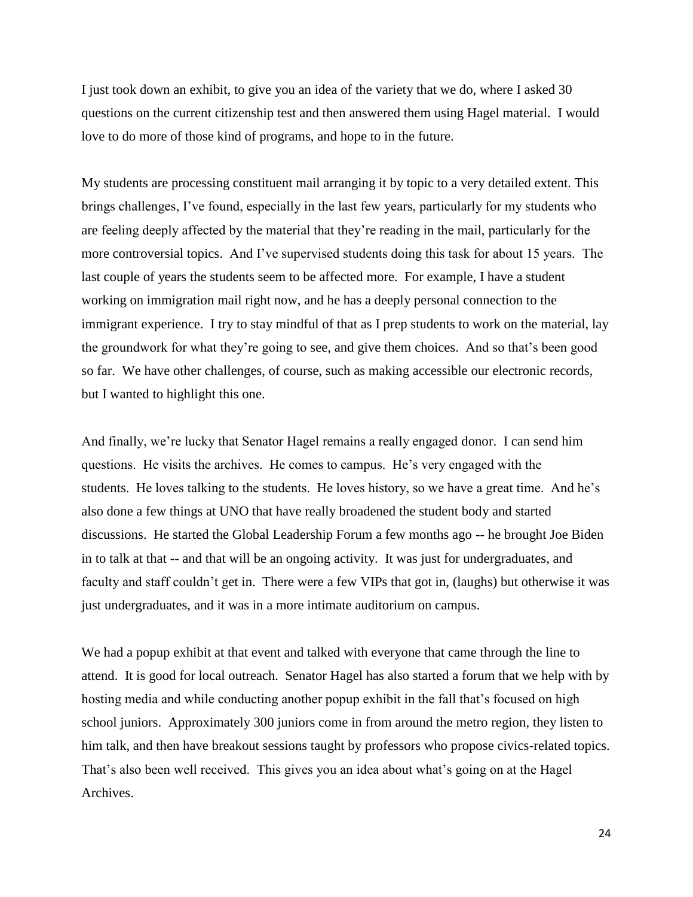I just took down an exhibit, to give you an idea of the variety that we do, where I asked 30 questions on the current citizenship test and then answered them using Hagel material. I would love to do more of those kind of programs, and hope to in the future.

My students are processing constituent mail arranging it by topic to a very detailed extent. This brings challenges, I've found, especially in the last few years, particularly for my students who are feeling deeply affected by the material that they're reading in the mail, particularly for the more controversial topics. And I've supervised students doing this task for about 15 years. The last couple of years the students seem to be affected more. For example, I have a student working on immigration mail right now, and he has a deeply personal connection to the immigrant experience. I try to stay mindful of that as I prep students to work on the material, lay the groundwork for what they're going to see, and give them choices. And so that's been good so far. We have other challenges, of course, such as making accessible our electronic records, but I wanted to highlight this one.

And finally, we're lucky that Senator Hagel remains a really engaged donor. I can send him questions. He visits the archives. He comes to campus. He's very engaged with the students. He loves talking to the students. He loves history, so we have a great time. And he's also done a few things at UNO that have really broadened the student body and started discussions. He started the Global Leadership Forum a few months ago -- he brought Joe Biden in to talk at that -- and that will be an ongoing activity. It was just for undergraduates, and faculty and staff couldn't get in. There were a few VIPs that got in, (laughs) but otherwise it was just undergraduates, and it was in a more intimate auditorium on campus.

We had a popup exhibit at that event and talked with everyone that came through the line to attend. It is good for local outreach. Senator Hagel has also started a forum that we help with by hosting media and while conducting another popup exhibit in the fall that's focused on high school juniors. Approximately 300 juniors come in from around the metro region, they listen to him talk, and then have breakout sessions taught by professors who propose civics-related topics. That's also been well received. This gives you an idea about what's going on at the Hagel Archives.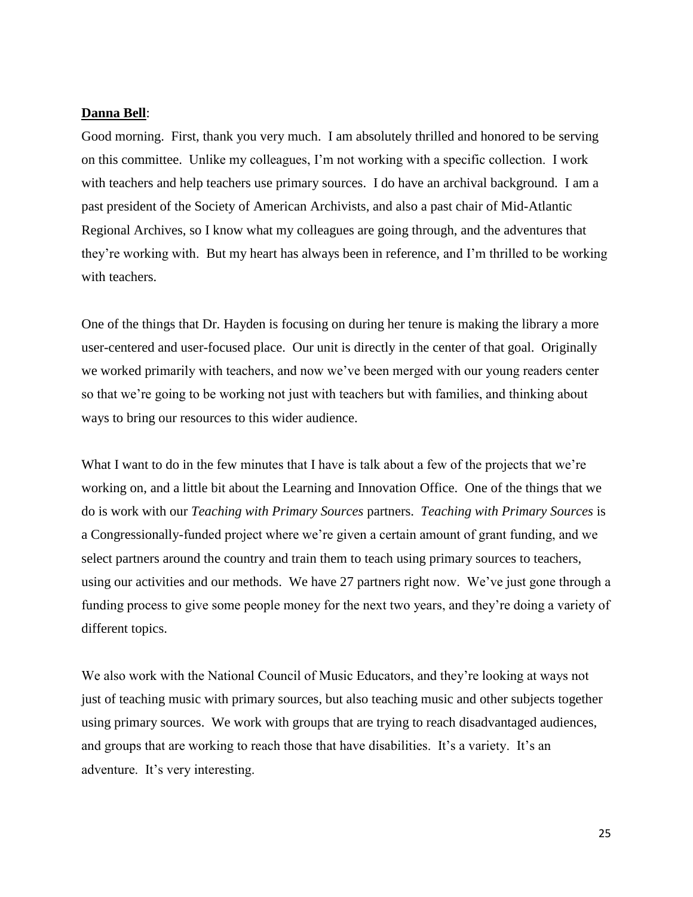#### **Danna Bell**:

Good morning. First, thank you very much. I am absolutely thrilled and honored to be serving on this committee. Unlike my colleagues, I'm not working with a specific collection. I work with teachers and help teachers use primary sources. I do have an archival background. I am a past president of the Society of American Archivists, and also a past chair of Mid-Atlantic Regional Archives, so I know what my colleagues are going through, and the adventures that they're working with. But my heart has always been in reference, and I'm thrilled to be working with teachers.

One of the things that Dr. Hayden is focusing on during her tenure is making the library a more user-centered and user-focused place. Our unit is directly in the center of that goal. Originally we worked primarily with teachers, and now we've been merged with our young readers center so that we're going to be working not just with teachers but with families, and thinking about ways to bring our resources to this wider audience.

What I want to do in the few minutes that I have is talk about a few of the projects that we're working on, and a little bit about the Learning and Innovation Office. One of the things that we do is work with our *Teaching with Primary Sources* partners. *Teaching with Primary Sources* is a Congressionally-funded project where we're given a certain amount of grant funding, and we select partners around the country and train them to teach using primary sources to teachers, using our activities and our methods. We have 27 partners right now. We've just gone through a funding process to give some people money for the next two years, and they're doing a variety of different topics.

We also work with the National Council of Music Educators, and they're looking at ways not just of teaching music with primary sources, but also teaching music and other subjects together using primary sources. We work with groups that are trying to reach disadvantaged audiences, and groups that are working to reach those that have disabilities. It's a variety. It's an adventure. It's very interesting.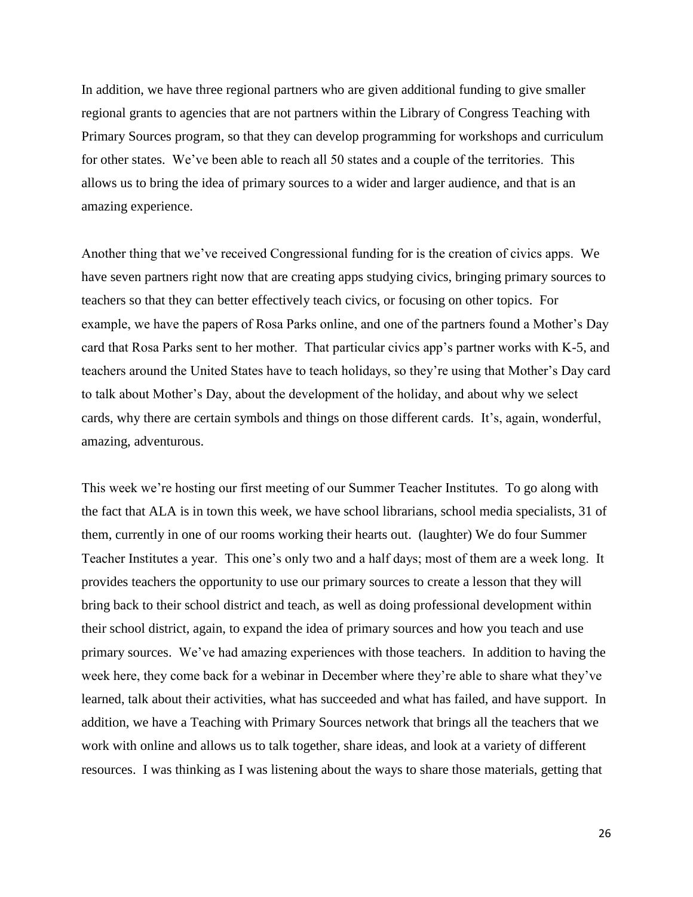In addition, we have three regional partners who are given additional funding to give smaller regional grants to agencies that are not partners within the Library of Congress Teaching with Primary Sources program, so that they can develop programming for workshops and curriculum for other states. We've been able to reach all 50 states and a couple of the territories. This allows us to bring the idea of primary sources to a wider and larger audience, and that is an amazing experience.

Another thing that we've received Congressional funding for is the creation of civics apps. We have seven partners right now that are creating apps studying civics, bringing primary sources to teachers so that they can better effectively teach civics, or focusing on other topics. For example, we have the papers of Rosa Parks online, and one of the partners found a Mother's Day card that Rosa Parks sent to her mother. That particular civics app's partner works with K-5, and teachers around the United States have to teach holidays, so they're using that Mother's Day card to talk about Mother's Day, about the development of the holiday, and about why we select cards, why there are certain symbols and things on those different cards. It's, again, wonderful, amazing, adventurous.

This week we're hosting our first meeting of our Summer Teacher Institutes. To go along with the fact that ALA is in town this week, we have school librarians, school media specialists, 31 of them, currently in one of our rooms working their hearts out. (laughter) We do four Summer Teacher Institutes a year. This one's only two and a half days; most of them are a week long. It provides teachers the opportunity to use our primary sources to create a lesson that they will bring back to their school district and teach, as well as doing professional development within their school district, again, to expand the idea of primary sources and how you teach and use primary sources. We've had amazing experiences with those teachers. In addition to having the week here, they come back for a webinar in December where they're able to share what they've learned, talk about their activities, what has succeeded and what has failed, and have support. In addition, we have a Teaching with Primary Sources network that brings all the teachers that we work with online and allows us to talk together, share ideas, and look at a variety of different resources. I was thinking as I was listening about the ways to share those materials, getting that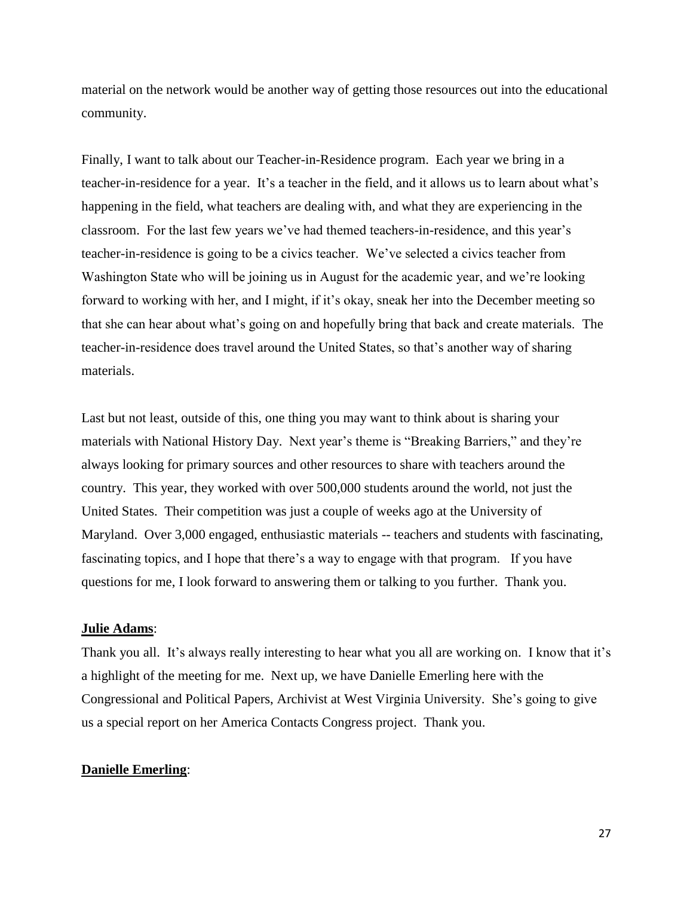material on the network would be another way of getting those resources out into the educational community.

Finally, I want to talk about our Teacher-in-Residence program. Each year we bring in a teacher-in-residence for a year. It's a teacher in the field, and it allows us to learn about what's happening in the field, what teachers are dealing with, and what they are experiencing in the classroom. For the last few years we've had themed teachers-in-residence, and this year's teacher-in-residence is going to be a civics teacher. We've selected a civics teacher from Washington State who will be joining us in August for the academic year, and we're looking forward to working with her, and I might, if it's okay, sneak her into the December meeting so that she can hear about what's going on and hopefully bring that back and create materials. The teacher-in-residence does travel around the United States, so that's another way of sharing materials.

Last but not least, outside of this, one thing you may want to think about is sharing your materials with National History Day. Next year's theme is "Breaking Barriers," and they're always looking for primary sources and other resources to share with teachers around the country. This year, they worked with over 500,000 students around the world, not just the United States. Their competition was just a couple of weeks ago at the University of Maryland. Over 3,000 engaged, enthusiastic materials -- teachers and students with fascinating, fascinating topics, and I hope that there's a way to engage with that program. If you have questions for me, I look forward to answering them or talking to you further. Thank you.

#### **Julie Adams**:

Thank you all. It's always really interesting to hear what you all are working on. I know that it's a highlight of the meeting for me. Next up, we have Danielle Emerling here with the Congressional and Political Papers, Archivist at West Virginia University. She's going to give us a special report on her America Contacts Congress project. Thank you.

## **Danielle Emerling**: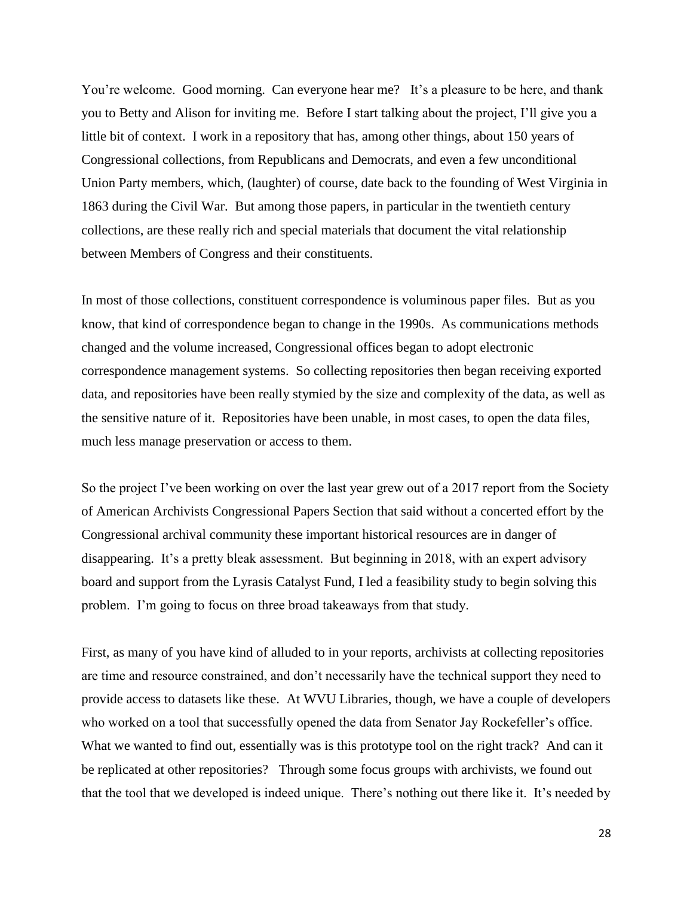You're welcome. Good morning. Can everyone hear me? It's a pleasure to be here, and thank you to Betty and Alison for inviting me. Before I start talking about the project, I'll give you a little bit of context. I work in a repository that has, among other things, about 150 years of Congressional collections, from Republicans and Democrats, and even a few unconditional Union Party members, which, (laughter) of course, date back to the founding of West Virginia in 1863 during the Civil War. But among those papers, in particular in the twentieth century collections, are these really rich and special materials that document the vital relationship between Members of Congress and their constituents.

In most of those collections, constituent correspondence is voluminous paper files. But as you know, that kind of correspondence began to change in the 1990s. As communications methods changed and the volume increased, Congressional offices began to adopt electronic correspondence management systems. So collecting repositories then began receiving exported data, and repositories have been really stymied by the size and complexity of the data, as well as the sensitive nature of it. Repositories have been unable, in most cases, to open the data files, much less manage preservation or access to them.

So the project I've been working on over the last year grew out of a 2017 report from the Society of American Archivists Congressional Papers Section that said without a concerted effort by the Congressional archival community these important historical resources are in danger of disappearing. It's a pretty bleak assessment. But beginning in 2018, with an expert advisory board and support from the Lyrasis Catalyst Fund, I led a feasibility study to begin solving this problem. I'm going to focus on three broad takeaways from that study.

First, as many of you have kind of alluded to in your reports, archivists at collecting repositories are time and resource constrained, and don't necessarily have the technical support they need to provide access to datasets like these. At WVU Libraries, though, we have a couple of developers who worked on a tool that successfully opened the data from Senator Jay Rockefeller's office. What we wanted to find out, essentially was is this prototype tool on the right track? And can it be replicated at other repositories? Through some focus groups with archivists, we found out that the tool that we developed is indeed unique. There's nothing out there like it. It's needed by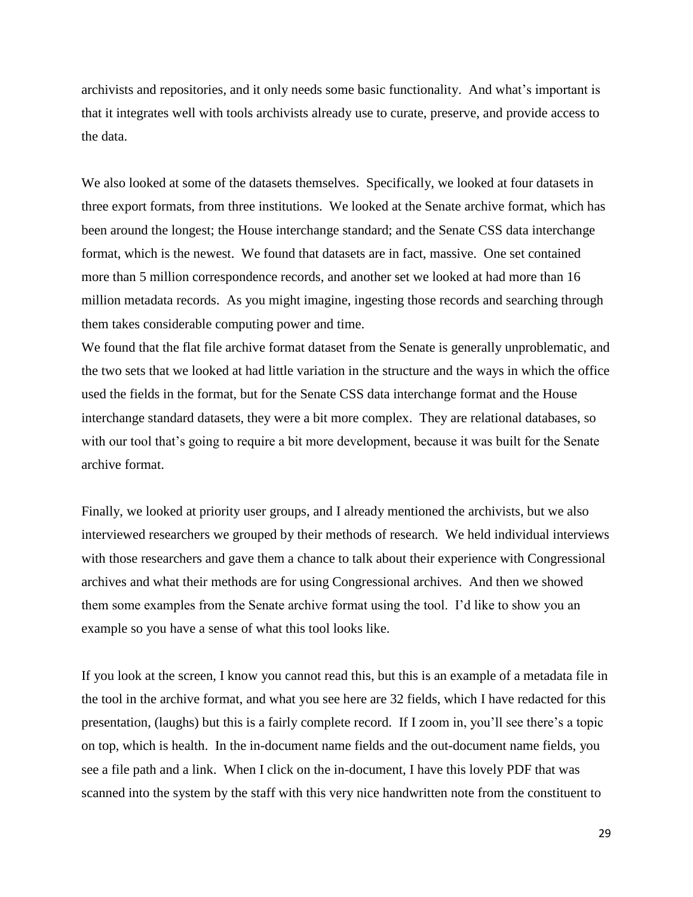archivists and repositories, and it only needs some basic functionality. And what's important is that it integrates well with tools archivists already use to curate, preserve, and provide access to the data.

We also looked at some of the datasets themselves. Specifically, we looked at four datasets in three export formats, from three institutions. We looked at the Senate archive format, which has been around the longest; the House interchange standard; and the Senate CSS data interchange format, which is the newest. We found that datasets are in fact, massive. One set contained more than 5 million correspondence records, and another set we looked at had more than 16 million metadata records. As you might imagine, ingesting those records and searching through them takes considerable computing power and time.

We found that the flat file archive format dataset from the Senate is generally unproblematic, and the two sets that we looked at had little variation in the structure and the ways in which the office used the fields in the format, but for the Senate CSS data interchange format and the House interchange standard datasets, they were a bit more complex. They are relational databases, so with our tool that's going to require a bit more development, because it was built for the Senate archive format.

Finally, we looked at priority user groups, and I already mentioned the archivists, but we also interviewed researchers we grouped by their methods of research. We held individual interviews with those researchers and gave them a chance to talk about their experience with Congressional archives and what their methods are for using Congressional archives. And then we showed them some examples from the Senate archive format using the tool. I'd like to show you an example so you have a sense of what this tool looks like.

If you look at the screen, I know you cannot read this, but this is an example of a metadata file in the tool in the archive format, and what you see here are 32 fields, which I have redacted for this presentation, (laughs) but this is a fairly complete record. If I zoom in, you'll see there's a topic on top, which is health. In the in-document name fields and the out-document name fields, you see a file path and a link. When I click on the in-document, I have this lovely PDF that was scanned into the system by the staff with this very nice handwritten note from the constituent to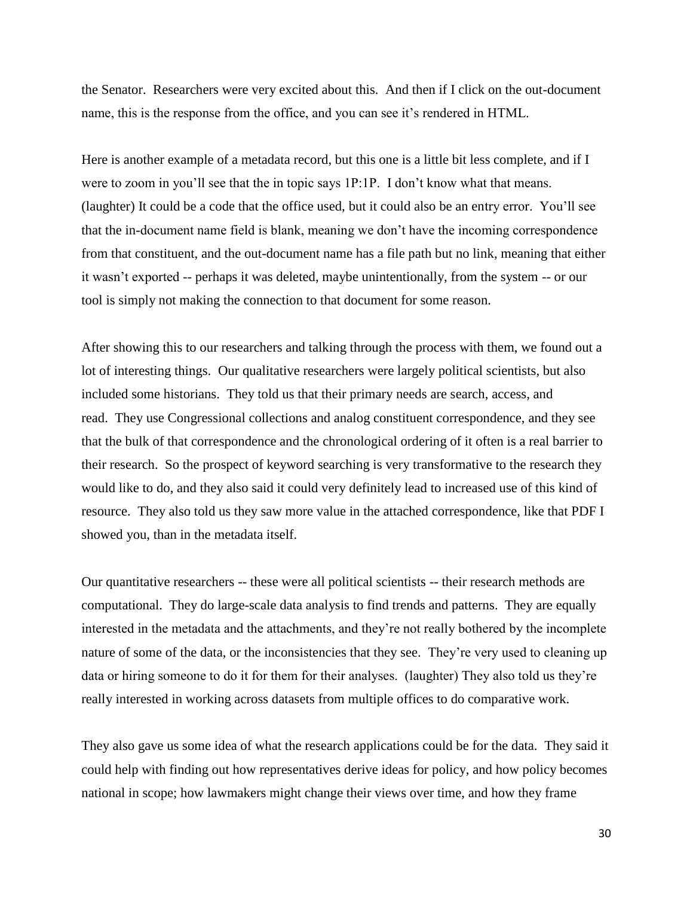the Senator. Researchers were very excited about this. And then if I click on the out-document name, this is the response from the office, and you can see it's rendered in HTML.

Here is another example of a metadata record, but this one is a little bit less complete, and if I were to zoom in you'll see that the in topic says 1P:1P. I don't know what that means. (laughter) It could be a code that the office used, but it could also be an entry error. You'll see that the in-document name field is blank, meaning we don't have the incoming correspondence from that constituent, and the out-document name has a file path but no link, meaning that either it wasn't exported -- perhaps it was deleted, maybe unintentionally, from the system -- or our tool is simply not making the connection to that document for some reason.

After showing this to our researchers and talking through the process with them, we found out a lot of interesting things. Our qualitative researchers were largely political scientists, but also included some historians. They told us that their primary needs are search, access, and read. They use Congressional collections and analog constituent correspondence, and they see that the bulk of that correspondence and the chronological ordering of it often is a real barrier to their research. So the prospect of keyword searching is very transformative to the research they would like to do, and they also said it could very definitely lead to increased use of this kind of resource. They also told us they saw more value in the attached correspondence, like that PDF I showed you, than in the metadata itself.

Our quantitative researchers -- these were all political scientists -- their research methods are computational. They do large-scale data analysis to find trends and patterns. They are equally interested in the metadata and the attachments, and they're not really bothered by the incomplete nature of some of the data, or the inconsistencies that they see. They're very used to cleaning up data or hiring someone to do it for them for their analyses. (laughter) They also told us they're really interested in working across datasets from multiple offices to do comparative work.

They also gave us some idea of what the research applications could be for the data. They said it could help with finding out how representatives derive ideas for policy, and how policy becomes national in scope; how lawmakers might change their views over time, and how they frame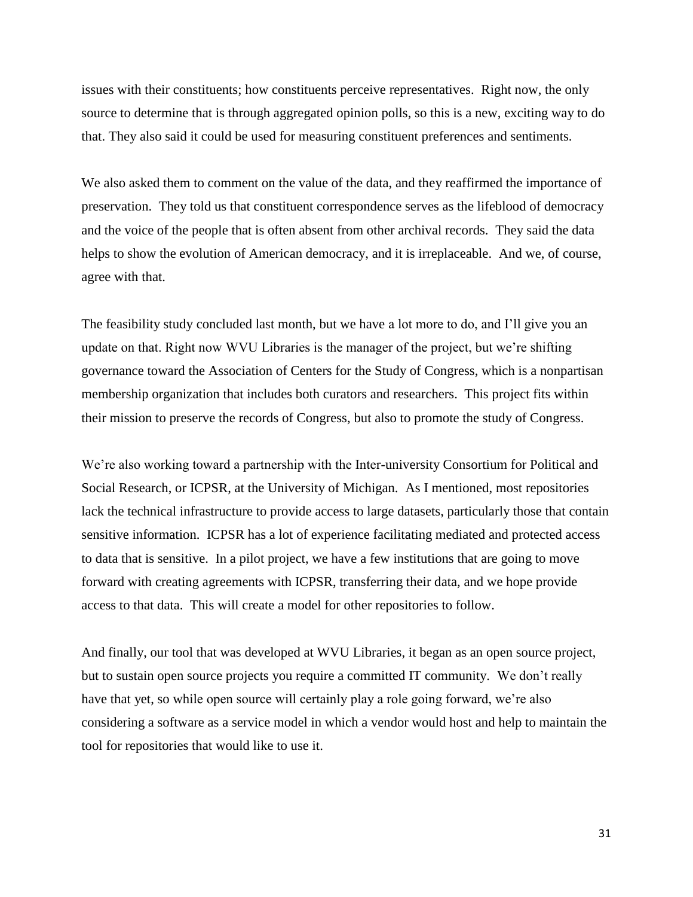issues with their constituents; how constituents perceive representatives. Right now, the only source to determine that is through aggregated opinion polls, so this is a new, exciting way to do that. They also said it could be used for measuring constituent preferences and sentiments.

We also asked them to comment on the value of the data, and they reaffirmed the importance of preservation. They told us that constituent correspondence serves as the lifeblood of democracy and the voice of the people that is often absent from other archival records. They said the data helps to show the evolution of American democracy, and it is irreplaceable. And we, of course, agree with that.

The feasibility study concluded last month, but we have a lot more to do, and I'll give you an update on that. Right now WVU Libraries is the manager of the project, but we're shifting governance toward the Association of Centers for the Study of Congress, which is a nonpartisan membership organization that includes both curators and researchers. This project fits within their mission to preserve the records of Congress, but also to promote the study of Congress.

We're also working toward a partnership with the Inter-university Consortium for Political and Social Research, or ICPSR, at the University of Michigan. As I mentioned, most repositories lack the technical infrastructure to provide access to large datasets, particularly those that contain sensitive information. ICPSR has a lot of experience facilitating mediated and protected access to data that is sensitive. In a pilot project, we have a few institutions that are going to move forward with creating agreements with ICPSR, transferring their data, and we hope provide access to that data. This will create a model for other repositories to follow.

And finally, our tool that was developed at WVU Libraries, it began as an open source project, but to sustain open source projects you require a committed IT community. We don't really have that yet, so while open source will certainly play a role going forward, we're also considering a software as a service model in which a vendor would host and help to maintain the tool for repositories that would like to use it.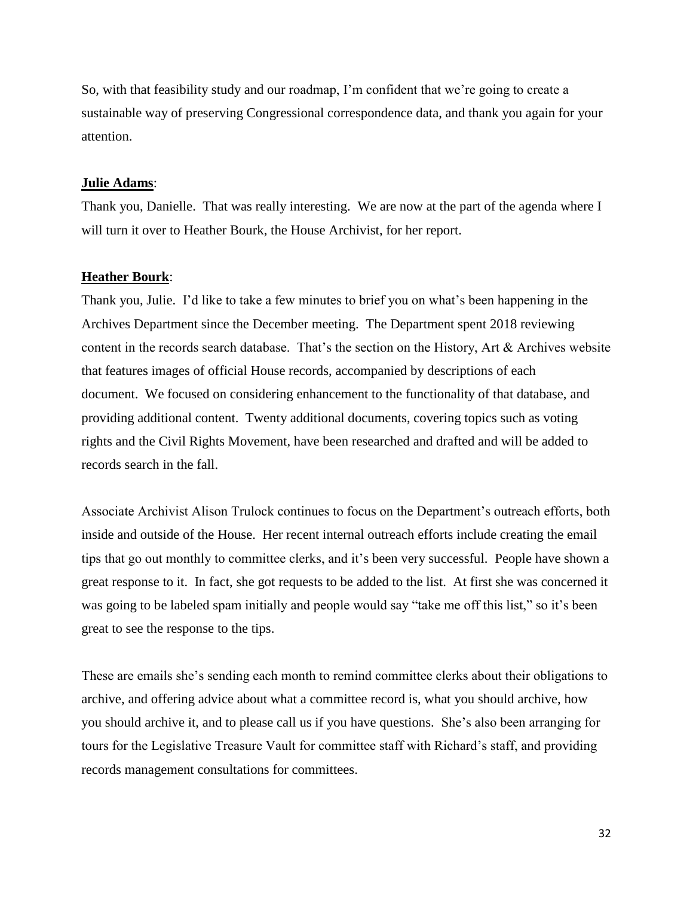So, with that feasibility study and our roadmap, I'm confident that we're going to create a sustainable way of preserving Congressional correspondence data, and thank you again for your attention.

#### **Julie Adams**:

Thank you, Danielle. That was really interesting. We are now at the part of the agenda where I will turn it over to Heather Bourk, the House Archivist, for her report.

#### **Heather Bourk**:

Thank you, Julie. I'd like to take a few minutes to brief you on what's been happening in the Archives Department since the December meeting. The Department spent 2018 reviewing content in the records search database. That's the section on the History, Art & Archives website that features images of official House records, accompanied by descriptions of each document. We focused on considering enhancement to the functionality of that database, and providing additional content. Twenty additional documents, covering topics such as voting rights and the Civil Rights Movement, have been researched and drafted and will be added to records search in the fall.

Associate Archivist Alison Trulock continues to focus on the Department's outreach efforts, both inside and outside of the House. Her recent internal outreach efforts include creating the email tips that go out monthly to committee clerks, and it's been very successful. People have shown a great response to it. In fact, she got requests to be added to the list. At first she was concerned it was going to be labeled spam initially and people would say "take me off this list," so it's been great to see the response to the tips.

These are emails she's sending each month to remind committee clerks about their obligations to archive, and offering advice about what a committee record is, what you should archive, how you should archive it, and to please call us if you have questions. She's also been arranging for tours for the Legislative Treasure Vault for committee staff with Richard's staff, and providing records management consultations for committees.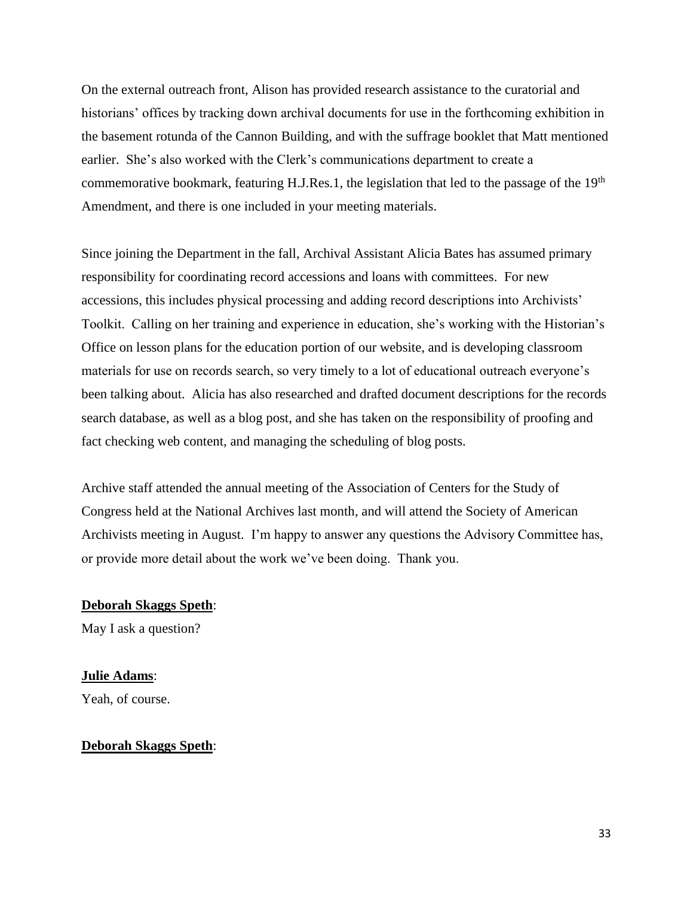On the external outreach front, Alison has provided research assistance to the curatorial and historians' offices by tracking down archival documents for use in the forthcoming exhibition in the basement rotunda of the Cannon Building, and with the suffrage booklet that Matt mentioned earlier. She's also worked with the Clerk's communications department to create a commemorative bookmark, featuring H.J.Res.1, the legislation that led to the passage of the 19<sup>th</sup> Amendment, and there is one included in your meeting materials.

Since joining the Department in the fall, Archival Assistant Alicia Bates has assumed primary responsibility for coordinating record accessions and loans with committees. For new accessions, this includes physical processing and adding record descriptions into Archivists' Toolkit. Calling on her training and experience in education, she's working with the Historian's Office on lesson plans for the education portion of our website, and is developing classroom materials for use on records search, so very timely to a lot of educational outreach everyone's been talking about. Alicia has also researched and drafted document descriptions for the records search database, as well as a blog post, and she has taken on the responsibility of proofing and fact checking web content, and managing the scheduling of blog posts.

Archive staff attended the annual meeting of the Association of Centers for the Study of Congress held at the National Archives last month, and will attend the Society of American Archivists meeting in August. I'm happy to answer any questions the Advisory Committee has, or provide more detail about the work we've been doing. Thank you.

# **Deborah Skaggs Speth**:

May I ask a question?

# **Julie Adams**:

Yeah, of course.

## **Deborah Skaggs Speth**: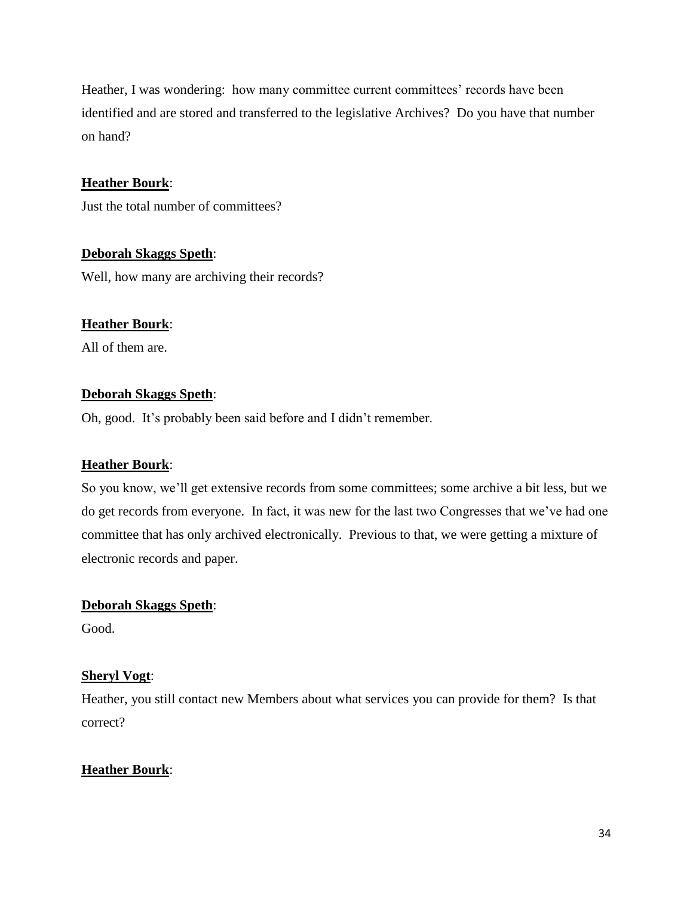Heather, I was wondering: how many committee current committees' records have been identified and are stored and transferred to the legislative Archives? Do you have that number on hand?

# **Heather Bourk**:

Just the total number of committees?

# **Deborah Skaggs Speth**:

Well, how many are archiving their records?

## **Heather Bourk**:

All of them are.

## **Deborah Skaggs Speth**:

Oh, good. It's probably been said before and I didn't remember.

## **Heather Bourk**:

So you know, we'll get extensive records from some committees; some archive a bit less, but we do get records from everyone. In fact, it was new for the last two Congresses that we've had one committee that has only archived electronically. Previous to that, we were getting a mixture of electronic records and paper.

## **Deborah Skaggs Speth**:

Good.

# **Sheryl Vogt**:

Heather, you still contact new Members about what services you can provide for them? Is that correct?

# **Heather Bourk**: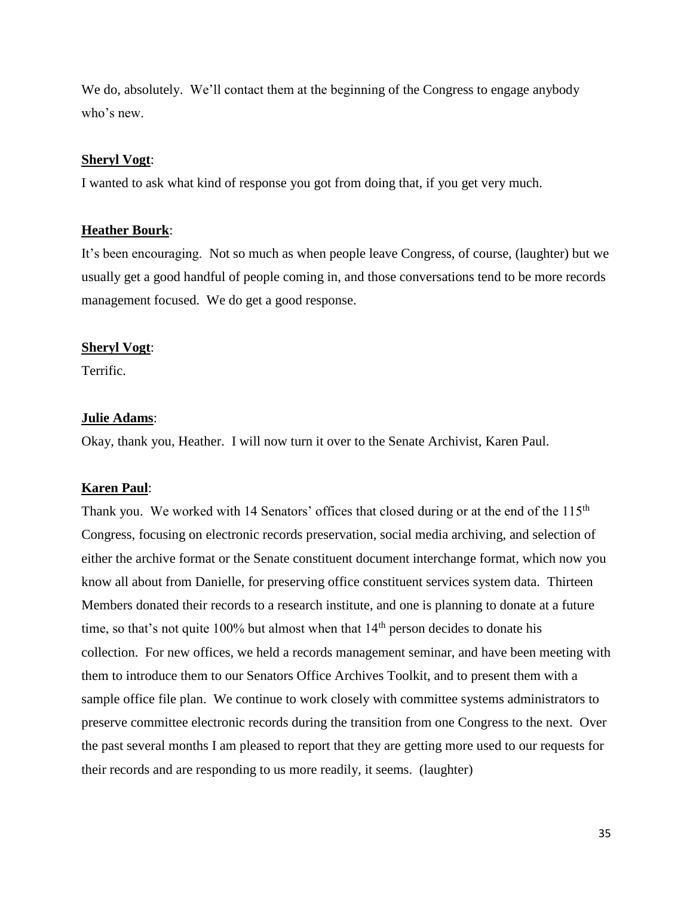We do, absolutely. We'll contact them at the beginning of the Congress to engage anybody who's new.

#### **Sheryl Vogt**:

I wanted to ask what kind of response you got from doing that, if you get very much.

#### **Heather Bourk**:

It's been encouraging. Not so much as when people leave Congress, of course, (laughter) but we usually get a good handful of people coming in, and those conversations tend to be more records management focused. We do get a good response.

#### **Sheryl Vogt**:

Terrific.

### **Julie Adams**:

Okay, thank you, Heather. I will now turn it over to the Senate Archivist, Karen Paul.

#### **Karen Paul**:

Thank you. We worked with 14 Senators' offices that closed during or at the end of the 115<sup>th</sup> Congress, focusing on electronic records preservation, social media archiving, and selection of either the archive format or the Senate constituent document interchange format, which now you know all about from Danielle, for preserving office constituent services system data. Thirteen Members donated their records to a research institute, and one is planning to donate at a future time, so that's not quite  $100\%$  but almost when that  $14<sup>th</sup>$  person decides to donate his collection. For new offices, we held a records management seminar, and have been meeting with them to introduce them to our Senators Office Archives Toolkit, and to present them with a sample office file plan. We continue to work closely with committee systems administrators to preserve committee electronic records during the transition from one Congress to the next. Over the past several months I am pleased to report that they are getting more used to our requests for their records and are responding to us more readily, it seems. (laughter)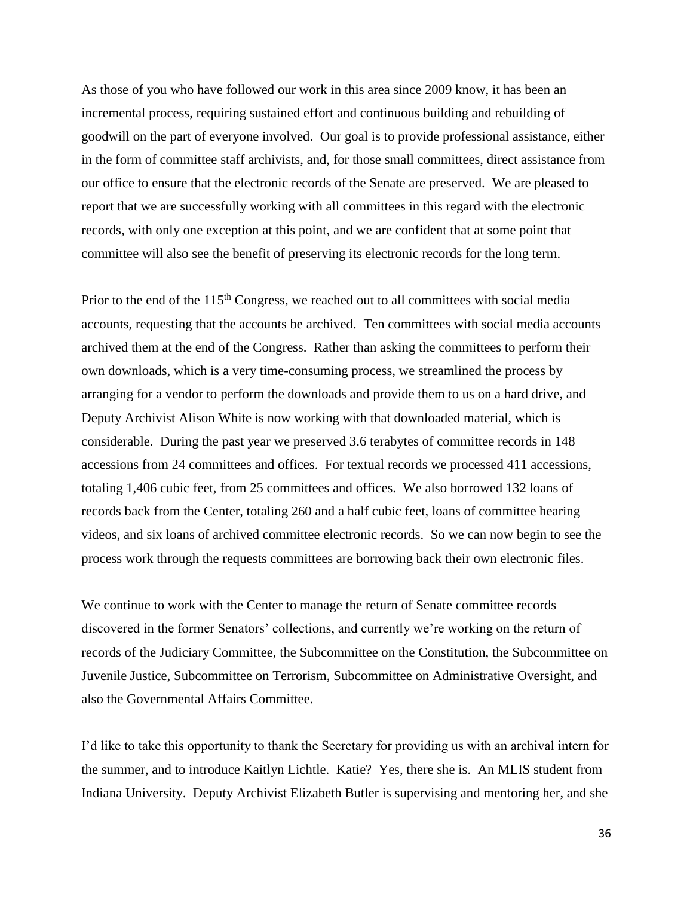As those of you who have followed our work in this area since 2009 know, it has been an incremental process, requiring sustained effort and continuous building and rebuilding of goodwill on the part of everyone involved. Our goal is to provide professional assistance, either in the form of committee staff archivists, and, for those small committees, direct assistance from our office to ensure that the electronic records of the Senate are preserved. We are pleased to report that we are successfully working with all committees in this regard with the electronic records, with only one exception at this point, and we are confident that at some point that committee will also see the benefit of preserving its electronic records for the long term.

Prior to the end of the 115<sup>th</sup> Congress, we reached out to all committees with social media accounts, requesting that the accounts be archived. Ten committees with social media accounts archived them at the end of the Congress. Rather than asking the committees to perform their own downloads, which is a very time-consuming process, we streamlined the process by arranging for a vendor to perform the downloads and provide them to us on a hard drive, and Deputy Archivist Alison White is now working with that downloaded material, which is considerable. During the past year we preserved 3.6 terabytes of committee records in 148 accessions from 24 committees and offices. For textual records we processed 411 accessions, totaling 1,406 cubic feet, from 25 committees and offices. We also borrowed 132 loans of records back from the Center, totaling 260 and a half cubic feet, loans of committee hearing videos, and six loans of archived committee electronic records. So we can now begin to see the process work through the requests committees are borrowing back their own electronic files.

We continue to work with the Center to manage the return of Senate committee records discovered in the former Senators' collections, and currently we're working on the return of records of the Judiciary Committee, the Subcommittee on the Constitution, the Subcommittee on Juvenile Justice, Subcommittee on Terrorism, Subcommittee on Administrative Oversight, and also the Governmental Affairs Committee.

I'd like to take this opportunity to thank the Secretary for providing us with an archival intern for the summer, and to introduce Kaitlyn Lichtle. Katie? Yes, there she is. An MLIS student from Indiana University. Deputy Archivist Elizabeth Butler is supervising and mentoring her, and she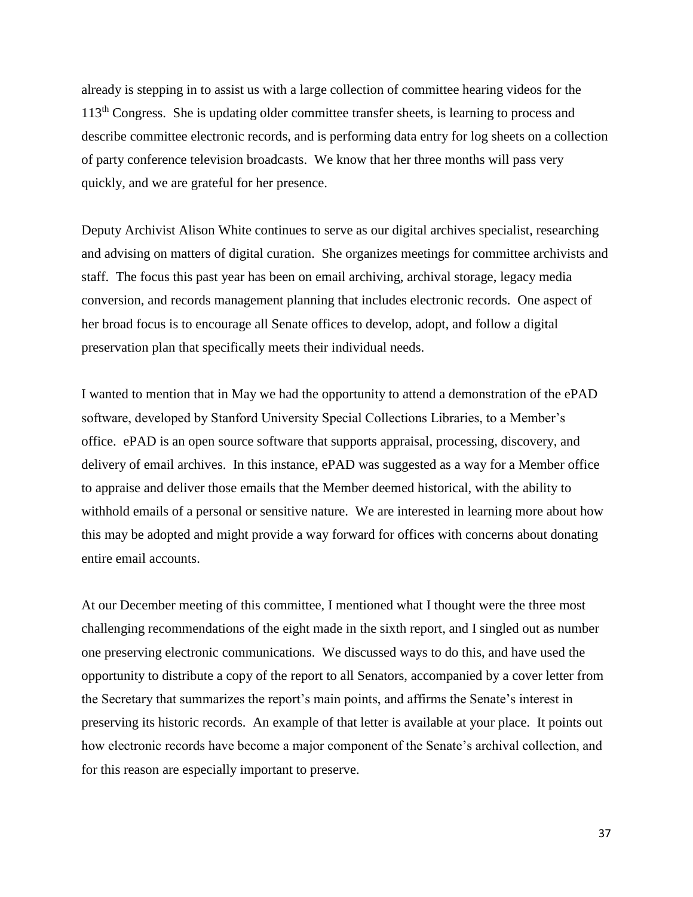already is stepping in to assist us with a large collection of committee hearing videos for the 113th Congress. She is updating older committee transfer sheets, is learning to process and describe committee electronic records, and is performing data entry for log sheets on a collection of party conference television broadcasts. We know that her three months will pass very quickly, and we are grateful for her presence.

Deputy Archivist Alison White continues to serve as our digital archives specialist, researching and advising on matters of digital curation. She organizes meetings for committee archivists and staff. The focus this past year has been on email archiving, archival storage, legacy media conversion, and records management planning that includes electronic records. One aspect of her broad focus is to encourage all Senate offices to develop, adopt, and follow a digital preservation plan that specifically meets their individual needs.

I wanted to mention that in May we had the opportunity to attend a demonstration of the ePAD software, developed by Stanford University Special Collections Libraries, to a Member's office. ePAD is an open source software that supports appraisal, processing, discovery, and delivery of email archives. In this instance, ePAD was suggested as a way for a Member office to appraise and deliver those emails that the Member deemed historical, with the ability to withhold emails of a personal or sensitive nature. We are interested in learning more about how this may be adopted and might provide a way forward for offices with concerns about donating entire email accounts.

At our December meeting of this committee, I mentioned what I thought were the three most challenging recommendations of the eight made in the sixth report, and I singled out as number one preserving electronic communications. We discussed ways to do this, and have used the opportunity to distribute a copy of the report to all Senators, accompanied by a cover letter from the Secretary that summarizes the report's main points, and affirms the Senate's interest in preserving its historic records. An example of that letter is available at your place. It points out how electronic records have become a major component of the Senate's archival collection, and for this reason are especially important to preserve.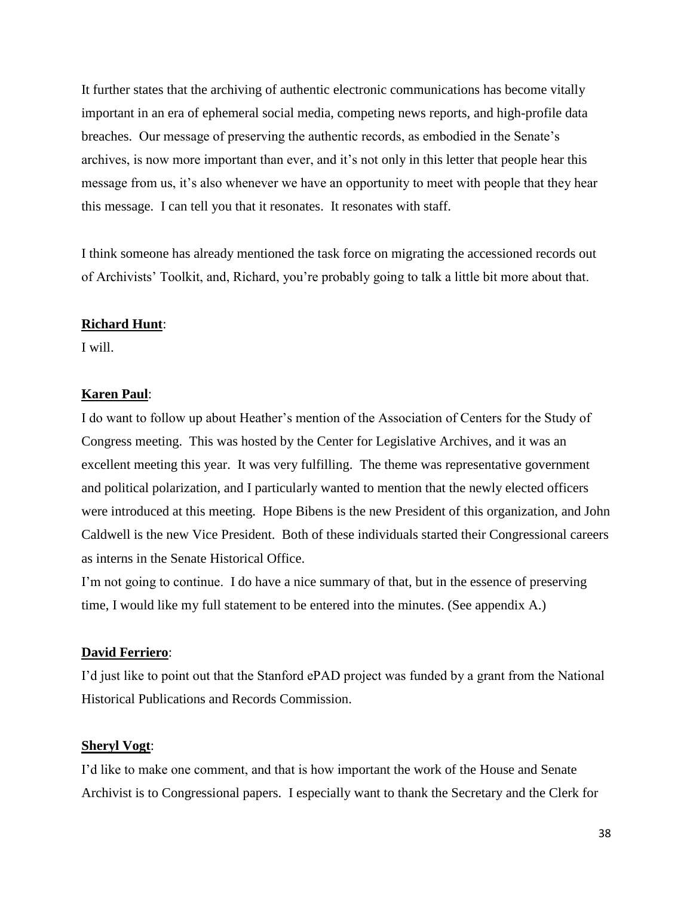It further states that the archiving of authentic electronic communications has become vitally important in an era of ephemeral social media, competing news reports, and high-profile data breaches. Our message of preserving the authentic records, as embodied in the Senate's archives, is now more important than ever, and it's not only in this letter that people hear this message from us, it's also whenever we have an opportunity to meet with people that they hear this message. I can tell you that it resonates. It resonates with staff.

I think someone has already mentioned the task force on migrating the accessioned records out of Archivists' Toolkit, and, Richard, you're probably going to talk a little bit more about that.

#### **Richard Hunt**:

I will.

#### **Karen Paul**:

I do want to follow up about Heather's mention of the Association of Centers for the Study of Congress meeting. This was hosted by the Center for Legislative Archives, and it was an excellent meeting this year. It was very fulfilling. The theme was representative government and political polarization, and I particularly wanted to mention that the newly elected officers were introduced at this meeting. Hope Bibens is the new President of this organization, and John Caldwell is the new Vice President. Both of these individuals started their Congressional careers as interns in the Senate Historical Office.

I'm not going to continue. I do have a nice summary of that, but in the essence of preserving time, I would like my full statement to be entered into the minutes. (See appendix A.)

#### **David Ferriero**:

I'd just like to point out that the Stanford ePAD project was funded by a grant from the National Historical Publications and Records Commission.

#### **Sheryl Vogt**:

I'd like to make one comment, and that is how important the work of the House and Senate Archivist is to Congressional papers. I especially want to thank the Secretary and the Clerk for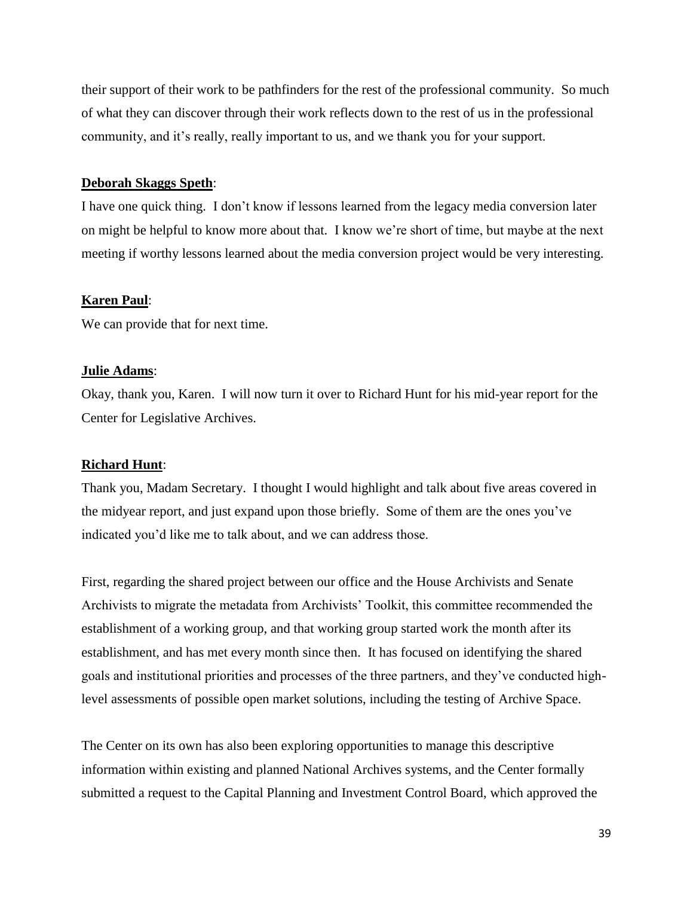their support of their work to be pathfinders for the rest of the professional community. So much of what they can discover through their work reflects down to the rest of us in the professional community, and it's really, really important to us, and we thank you for your support.

#### **Deborah Skaggs Speth**:

I have one quick thing. I don't know if lessons learned from the legacy media conversion later on might be helpful to know more about that. I know we're short of time, but maybe at the next meeting if worthy lessons learned about the media conversion project would be very interesting.

#### **Karen Paul**:

We can provide that for next time.

#### **Julie Adams**:

Okay, thank you, Karen. I will now turn it over to Richard Hunt for his mid-year report for the Center for Legislative Archives.

#### **Richard Hunt**:

Thank you, Madam Secretary. I thought I would highlight and talk about five areas covered in the midyear report, and just expand upon those briefly. Some of them are the ones you've indicated you'd like me to talk about, and we can address those.

First, regarding the shared project between our office and the House Archivists and Senate Archivists to migrate the metadata from Archivists' Toolkit, this committee recommended the establishment of a working group, and that working group started work the month after its establishment, and has met every month since then. It has focused on identifying the shared goals and institutional priorities and processes of the three partners, and they've conducted highlevel assessments of possible open market solutions, including the testing of Archive Space.

The Center on its own has also been exploring opportunities to manage this descriptive information within existing and planned National Archives systems, and the Center formally submitted a request to the Capital Planning and Investment Control Board, which approved the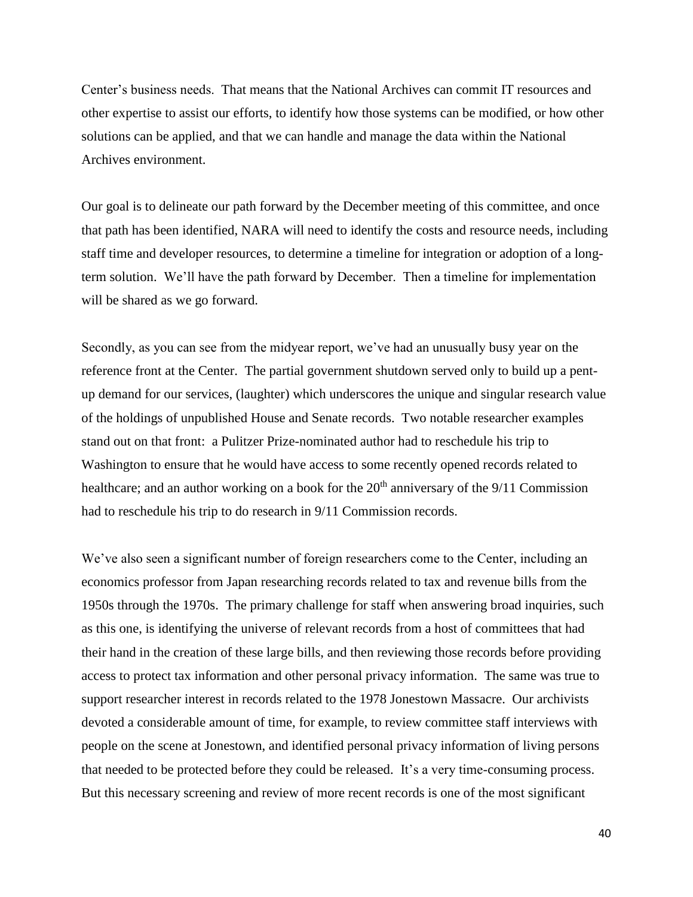Center's business needs. That means that the National Archives can commit IT resources and other expertise to assist our efforts, to identify how those systems can be modified, or how other solutions can be applied, and that we can handle and manage the data within the National Archives environment.

Our goal is to delineate our path forward by the December meeting of this committee, and once that path has been identified, NARA will need to identify the costs and resource needs, including staff time and developer resources, to determine a timeline for integration or adoption of a longterm solution. We'll have the path forward by December. Then a timeline for implementation will be shared as we go forward.

Secondly, as you can see from the midyear report, we've had an unusually busy year on the reference front at the Center. The partial government shutdown served only to build up a pentup demand for our services, (laughter) which underscores the unique and singular research value of the holdings of unpublished House and Senate records. Two notable researcher examples stand out on that front: a Pulitzer Prize-nominated author had to reschedule his trip to Washington to ensure that he would have access to some recently opened records related to healthcare; and an author working on a book for the  $20<sup>th</sup>$  anniversary of the  $9/11$  Commission had to reschedule his trip to do research in 9/11 Commission records.

We've also seen a significant number of foreign researchers come to the Center, including an economics professor from Japan researching records related to tax and revenue bills from the 1950s through the 1970s. The primary challenge for staff when answering broad inquiries, such as this one, is identifying the universe of relevant records from a host of committees that had their hand in the creation of these large bills, and then reviewing those records before providing access to protect tax information and other personal privacy information. The same was true to support researcher interest in records related to the 1978 Jonestown Massacre. Our archivists devoted a considerable amount of time, for example, to review committee staff interviews with people on the scene at Jonestown, and identified personal privacy information of living persons that needed to be protected before they could be released. It's a very time-consuming process. But this necessary screening and review of more recent records is one of the most significant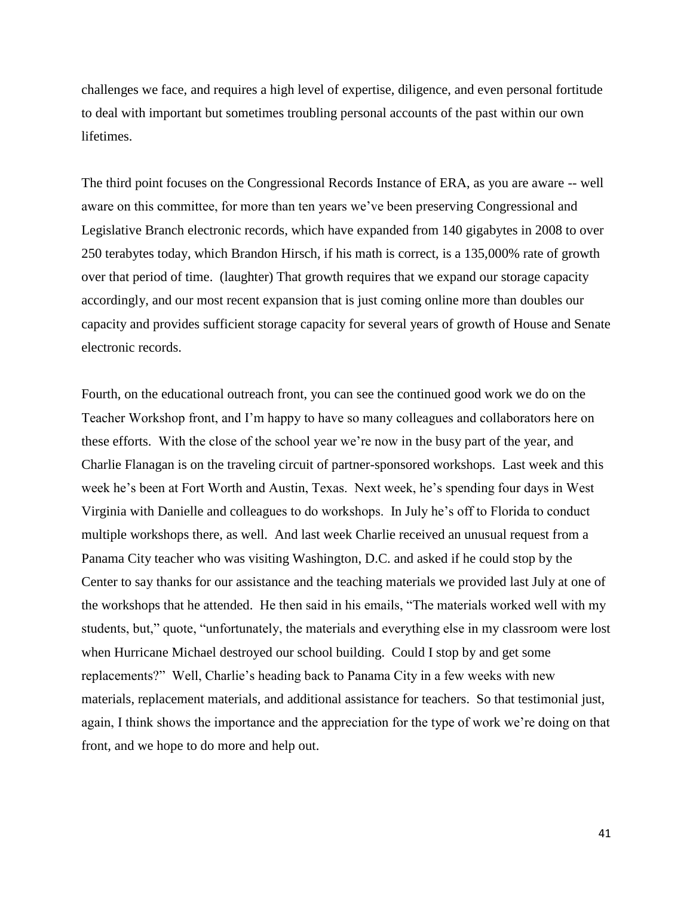challenges we face, and requires a high level of expertise, diligence, and even personal fortitude to deal with important but sometimes troubling personal accounts of the past within our own lifetimes.

The third point focuses on the Congressional Records Instance of ERA, as you are aware -- well aware on this committee, for more than ten years we've been preserving Congressional and Legislative Branch electronic records, which have expanded from 140 gigabytes in 2008 to over 250 terabytes today, which Brandon Hirsch, if his math is correct, is a 135,000% rate of growth over that period of time. (laughter) That growth requires that we expand our storage capacity accordingly, and our most recent expansion that is just coming online more than doubles our capacity and provides sufficient storage capacity for several years of growth of House and Senate electronic records.

Fourth, on the educational outreach front, you can see the continued good work we do on the Teacher Workshop front, and I'm happy to have so many colleagues and collaborators here on these efforts. With the close of the school year we're now in the busy part of the year, and Charlie Flanagan is on the traveling circuit of partner-sponsored workshops. Last week and this week he's been at Fort Worth and Austin, Texas. Next week, he's spending four days in West Virginia with Danielle and colleagues to do workshops. In July he's off to Florida to conduct multiple workshops there, as well. And last week Charlie received an unusual request from a Panama City teacher who was visiting Washington, D.C. and asked if he could stop by the Center to say thanks for our assistance and the teaching materials we provided last July at one of the workshops that he attended. He then said in his emails, "The materials worked well with my students, but," quote, "unfortunately, the materials and everything else in my classroom were lost when Hurricane Michael destroyed our school building. Could I stop by and get some replacements?" Well, Charlie's heading back to Panama City in a few weeks with new materials, replacement materials, and additional assistance for teachers. So that testimonial just, again, I think shows the importance and the appreciation for the type of work we're doing on that front, and we hope to do more and help out.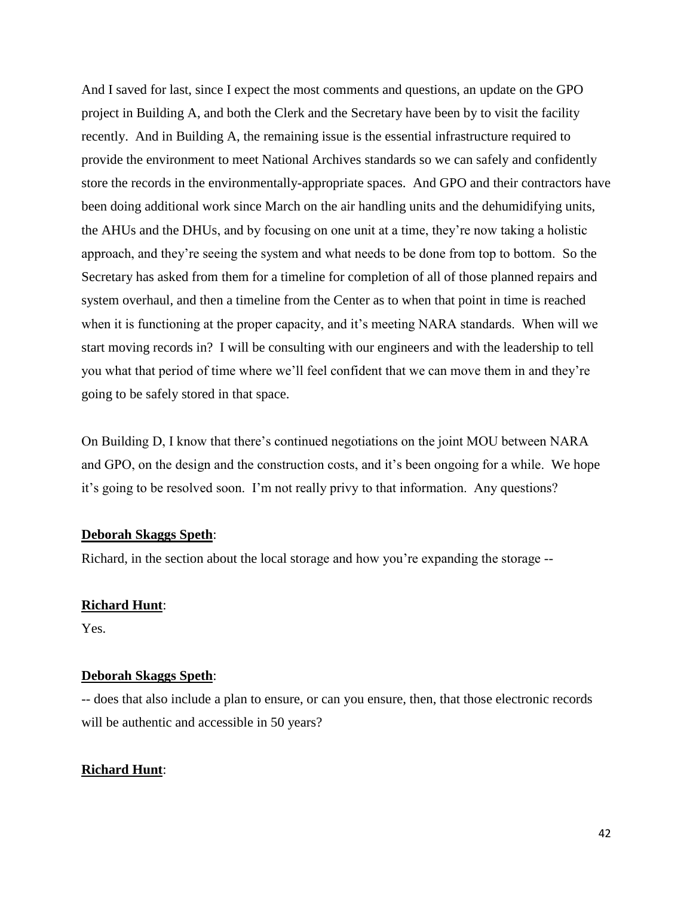And I saved for last, since I expect the most comments and questions, an update on the GPO project in Building A, and both the Clerk and the Secretary have been by to visit the facility recently. And in Building A, the remaining issue is the essential infrastructure required to provide the environment to meet National Archives standards so we can safely and confidently store the records in the environmentally-appropriate spaces. And GPO and their contractors have been doing additional work since March on the air handling units and the dehumidifying units, the AHUs and the DHUs, and by focusing on one unit at a time, they're now taking a holistic approach, and they're seeing the system and what needs to be done from top to bottom. So the Secretary has asked from them for a timeline for completion of all of those planned repairs and system overhaul, and then a timeline from the Center as to when that point in time is reached when it is functioning at the proper capacity, and it's meeting NARA standards. When will we start moving records in? I will be consulting with our engineers and with the leadership to tell you what that period of time where we'll feel confident that we can move them in and they're going to be safely stored in that space.

On Building D, I know that there's continued negotiations on the joint MOU between NARA and GPO, on the design and the construction costs, and it's been ongoing for a while. We hope it's going to be resolved soon. I'm not really privy to that information. Any questions?

## **Deborah Skaggs Speth**:

Richard, in the section about the local storage and how you're expanding the storage --

#### **Richard Hunt**:

Yes.

## **Deborah Skaggs Speth**:

-- does that also include a plan to ensure, or can you ensure, then, that those electronic records will be authentic and accessible in 50 years?

## **Richard Hunt**: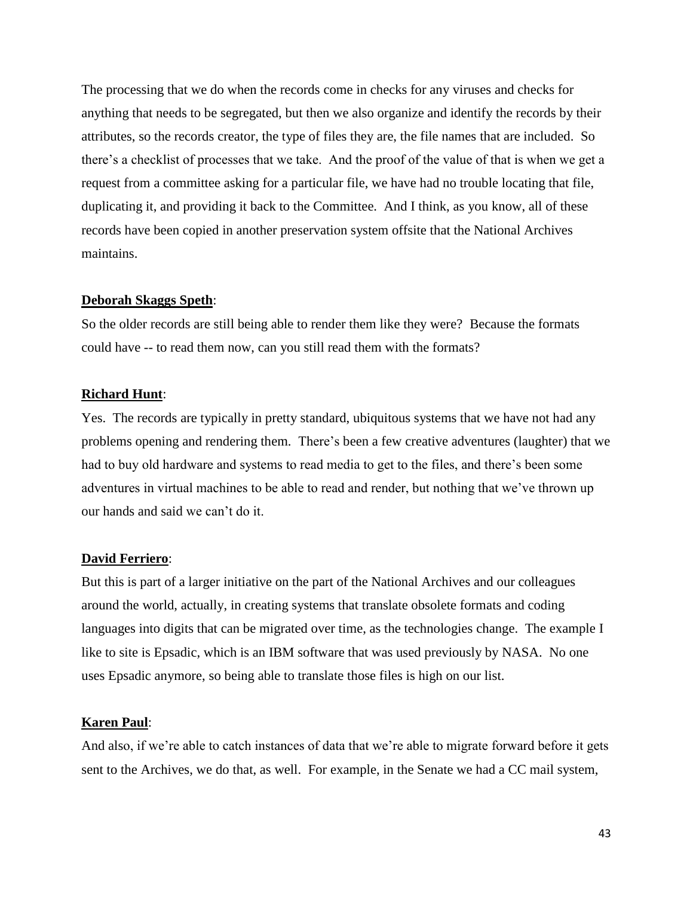The processing that we do when the records come in checks for any viruses and checks for anything that needs to be segregated, but then we also organize and identify the records by their attributes, so the records creator, the type of files they are, the file names that are included. So there's a checklist of processes that we take. And the proof of the value of that is when we get a request from a committee asking for a particular file, we have had no trouble locating that file, duplicating it, and providing it back to the Committee. And I think, as you know, all of these records have been copied in another preservation system offsite that the National Archives maintains.

#### **Deborah Skaggs Speth**:

So the older records are still being able to render them like they were? Because the formats could have -- to read them now, can you still read them with the formats?

#### **Richard Hunt**:

Yes. The records are typically in pretty standard, ubiquitous systems that we have not had any problems opening and rendering them. There's been a few creative adventures (laughter) that we had to buy old hardware and systems to read media to get to the files, and there's been some adventures in virtual machines to be able to read and render, but nothing that we've thrown up our hands and said we can't do it.

#### **David Ferriero**:

But this is part of a larger initiative on the part of the National Archives and our colleagues around the world, actually, in creating systems that translate obsolete formats and coding languages into digits that can be migrated over time, as the technologies change. The example I like to site is Epsadic, which is an IBM software that was used previously by NASA. No one uses Epsadic anymore, so being able to translate those files is high on our list.

#### **Karen Paul**:

And also, if we're able to catch instances of data that we're able to migrate forward before it gets sent to the Archives, we do that, as well. For example, in the Senate we had a CC mail system,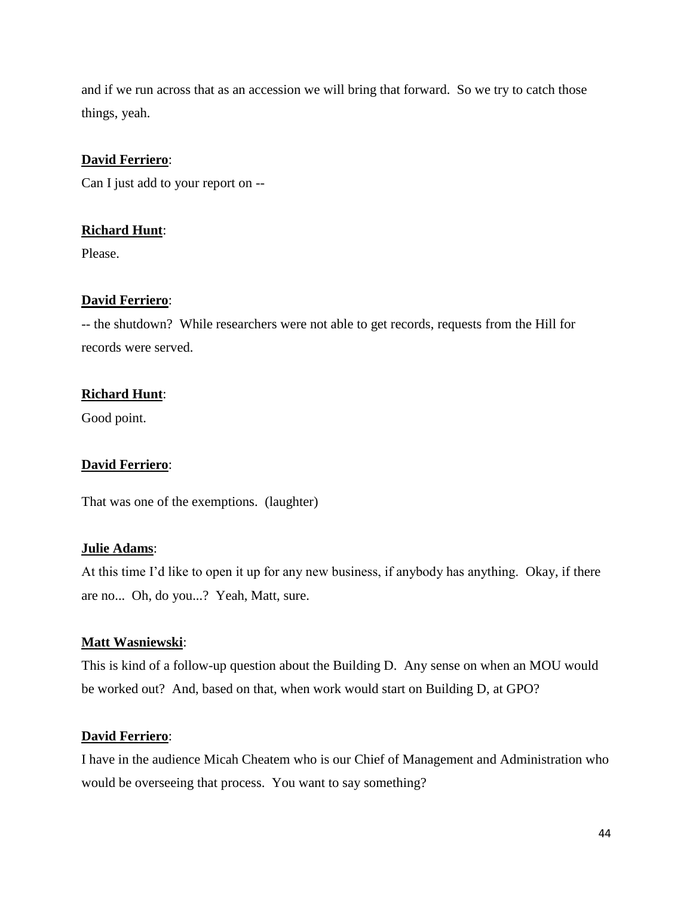and if we run across that as an accession we will bring that forward. So we try to catch those things, yeah.

## **David Ferriero**:

Can I just add to your report on --

## **Richard Hunt**:

Please.

## **David Ferriero**:

-- the shutdown? While researchers were not able to get records, requests from the Hill for records were served.

## **Richard Hunt**:

Good point.

## **David Ferriero**:

That was one of the exemptions. (laughter)

## **Julie Adams**:

At this time I'd like to open it up for any new business, if anybody has anything. Okay, if there are no... Oh, do you...? Yeah, Matt, sure.

## **Matt Wasniewski**:

This is kind of a follow-up question about the Building D. Any sense on when an MOU would be worked out? And, based on that, when work would start on Building D, at GPO?

#### **David Ferriero**:

I have in the audience Micah Cheatem who is our Chief of Management and Administration who would be overseeing that process. You want to say something?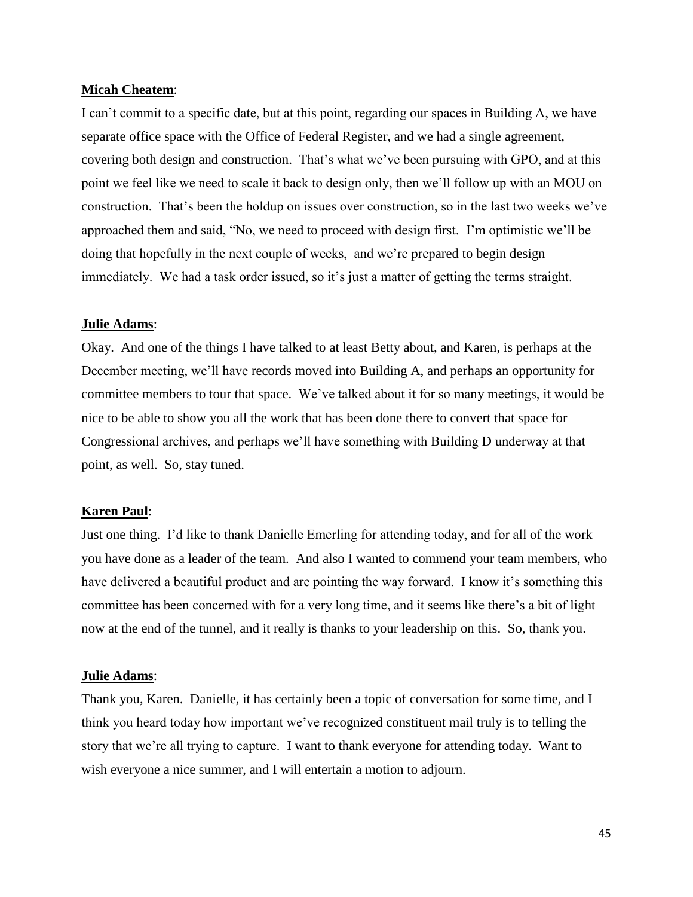#### **Micah Cheatem**:

I can't commit to a specific date, but at this point, regarding our spaces in Building A, we have separate office space with the Office of Federal Register, and we had a single agreement, covering both design and construction. That's what we've been pursuing with GPO, and at this point we feel like we need to scale it back to design only, then we'll follow up with an MOU on construction. That's been the holdup on issues over construction, so in the last two weeks we've approached them and said, "No, we need to proceed with design first. I'm optimistic we'll be doing that hopefully in the next couple of weeks, and we're prepared to begin design immediately. We had a task order issued, so it's just a matter of getting the terms straight.

## **Julie Adams**:

Okay. And one of the things I have talked to at least Betty about, and Karen, is perhaps at the December meeting, we'll have records moved into Building A, and perhaps an opportunity for committee members to tour that space. We've talked about it for so many meetings, it would be nice to be able to show you all the work that has been done there to convert that space for Congressional archives, and perhaps we'll have something with Building D underway at that point, as well. So, stay tuned.

### **Karen Paul**:

Just one thing. I'd like to thank Danielle Emerling for attending today, and for all of the work you have done as a leader of the team. And also I wanted to commend your team members, who have delivered a beautiful product and are pointing the way forward. I know it's something this committee has been concerned with for a very long time, and it seems like there's a bit of light now at the end of the tunnel, and it really is thanks to your leadership on this. So, thank you.

#### **Julie Adams**:

Thank you, Karen. Danielle, it has certainly been a topic of conversation for some time, and I think you heard today how important we've recognized constituent mail truly is to telling the story that we're all trying to capture. I want to thank everyone for attending today. Want to wish everyone a nice summer, and I will entertain a motion to adjourn.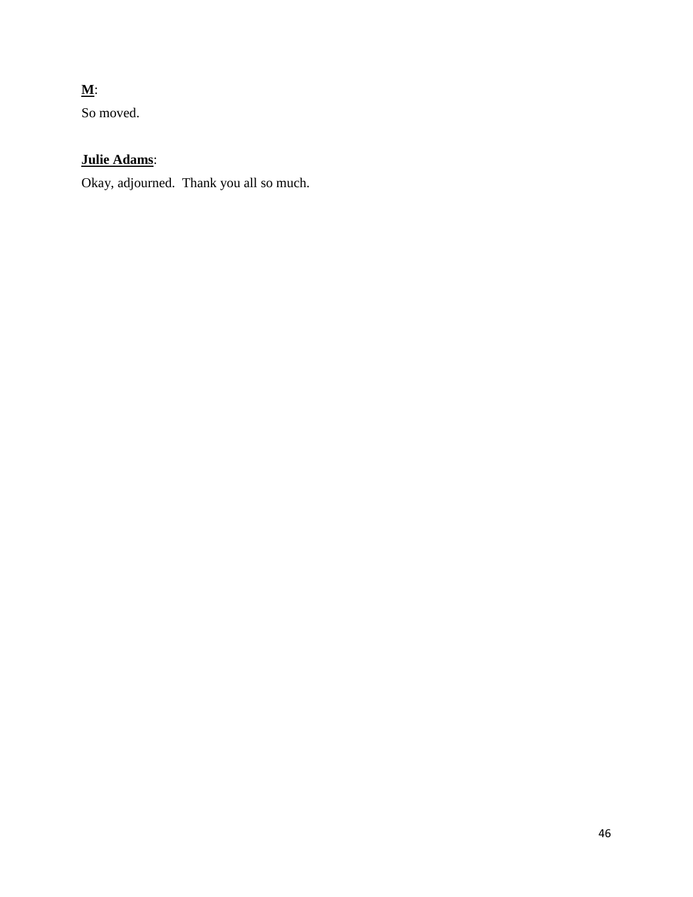# **M**:

So moved.

# **Julie Adams**:

Okay, adjourned. Thank you all so much.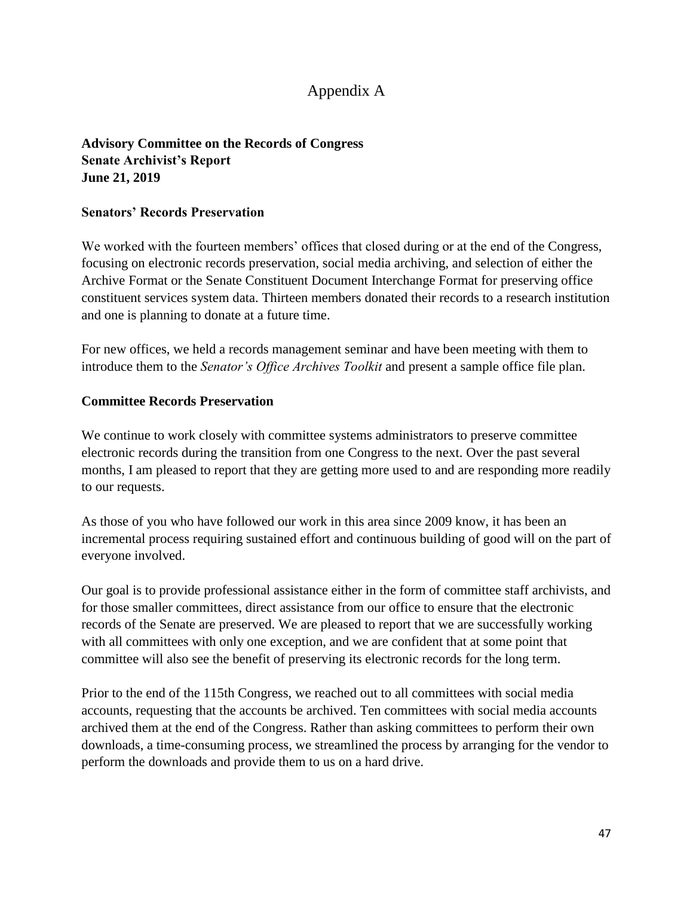# Appendix A

# **Advisory Committee on the Records of Congress Senate Archivist's Report June 21, 2019**

## **Senators' Records Preservation**

We worked with the fourteen members' offices that closed during or at the end of the Congress, focusing on electronic records preservation, social media archiving, and selection of either the Archive Format or the Senate Constituent Document Interchange Format for preserving office constituent services system data. Thirteen members donated their records to a research institution and one is planning to donate at a future time.

For new offices, we held a records management seminar and have been meeting with them to introduce them to the *Senator's Office Archives Toolkit* and present a sample office file plan.

## **Committee Records Preservation**

We continue to work closely with committee systems administrators to preserve committee electronic records during the transition from one Congress to the next. Over the past several months, I am pleased to report that they are getting more used to and are responding more readily to our requests.

As those of you who have followed our work in this area since 2009 know, it has been an incremental process requiring sustained effort and continuous building of good will on the part of everyone involved.

Our goal is to provide professional assistance either in the form of committee staff archivists, and for those smaller committees, direct assistance from our office to ensure that the electronic records of the Senate are preserved. We are pleased to report that we are successfully working with all committees with only one exception, and we are confident that at some point that committee will also see the benefit of preserving its electronic records for the long term.

Prior to the end of the 115th Congress, we reached out to all committees with social media accounts, requesting that the accounts be archived. Ten committees with social media accounts archived them at the end of the Congress. Rather than asking committees to perform their own downloads, a time-consuming process, we streamlined the process by arranging for the vendor to perform the downloads and provide them to us on a hard drive.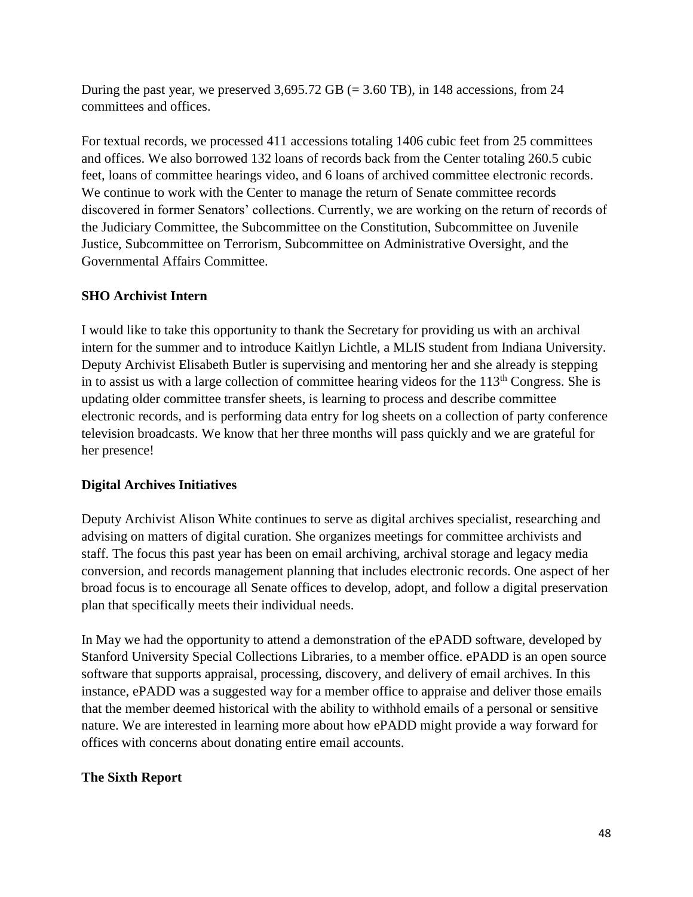During the past year, we preserved  $3,695.72$  GB (= 3.60 TB), in 148 accessions, from 24 committees and offices.

For textual records, we processed 411 accessions totaling 1406 cubic feet from 25 committees and offices. We also borrowed 132 loans of records back from the Center totaling 260.5 cubic feet, loans of committee hearings video, and 6 loans of archived committee electronic records. We continue to work with the Center to manage the return of Senate committee records discovered in former Senators' collections. Currently, we are working on the return of records of the Judiciary Committee, the Subcommittee on the Constitution, Subcommittee on Juvenile Justice, Subcommittee on Terrorism, Subcommittee on Administrative Oversight, and the Governmental Affairs Committee.

# **SHO Archivist Intern**

I would like to take this opportunity to thank the Secretary for providing us with an archival intern for the summer and to introduce Kaitlyn Lichtle, a MLIS student from Indiana University. Deputy Archivist Elisabeth Butler is supervising and mentoring her and she already is stepping in to assist us with a large collection of committee hearing videos for the  $113<sup>th</sup>$  Congress. She is updating older committee transfer sheets, is learning to process and describe committee electronic records, and is performing data entry for log sheets on a collection of party conference television broadcasts. We know that her three months will pass quickly and we are grateful for her presence!

# **Digital Archives Initiatives**

Deputy Archivist Alison White continues to serve as digital archives specialist, researching and advising on matters of digital curation. She organizes meetings for committee archivists and staff. The focus this past year has been on email archiving, archival storage and legacy media conversion, and records management planning that includes electronic records. One aspect of her broad focus is to encourage all Senate offices to develop, adopt, and follow a digital preservation plan that specifically meets their individual needs.

In May we had the opportunity to attend a demonstration of the ePADD software, developed by Stanford University Special Collections Libraries, to a member office. ePADD is an open source software that supports appraisal, processing, discovery, and delivery of email archives. In this instance, ePADD was a suggested way for a member office to appraise and deliver those emails that the member deemed historical with the ability to withhold emails of a personal or sensitive nature. We are interested in learning more about how ePADD might provide a way forward for offices with concerns about donating entire email accounts.

# **The Sixth Report**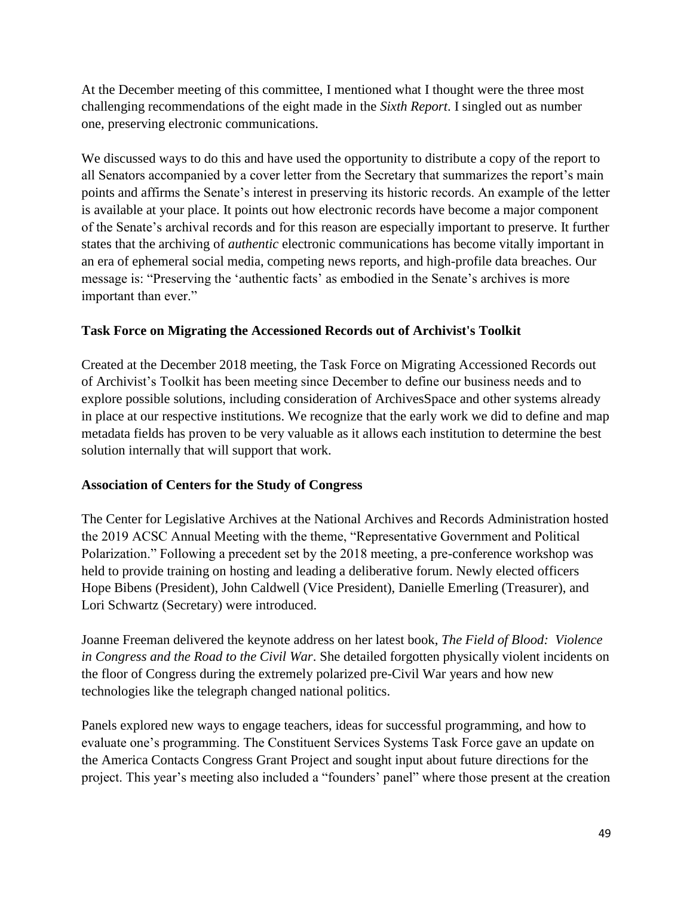At the December meeting of this committee, I mentioned what I thought were the three most challenging recommendations of the eight made in the *Sixth Report*. I singled out as number one, preserving electronic communications.

We discussed ways to do this and have used the opportunity to distribute a copy of the report to all Senators accompanied by a cover letter from the Secretary that summarizes the report's main points and affirms the Senate's interest in preserving its historic records. An example of the letter is available at your place. It points out how electronic records have become a major component of the Senate's archival records and for this reason are especially important to preserve. It further states that the archiving of *authentic* electronic communications has become vitally important in an era of ephemeral social media, competing news reports, and high-profile data breaches. Our message is: "Preserving the 'authentic facts' as embodied in the Senate's archives is more important than ever."

# **Task Force on Migrating the Accessioned Records out of Archivist's Toolkit**

Created at the December 2018 meeting, the Task Force on Migrating Accessioned Records out of Archivist's Toolkit has been meeting since December to define our business needs and to explore possible solutions, including consideration of ArchivesSpace and other systems already in place at our respective institutions. We recognize that the early work we did to define and map metadata fields has proven to be very valuable as it allows each institution to determine the best solution internally that will support that work.

# **Association of Centers for the Study of Congress**

The Center for Legislative Archives at the National Archives and Records Administration hosted the 2019 ACSC Annual Meeting with the theme, "Representative Government and Political Polarization." Following a precedent set by the 2018 meeting, a pre-conference workshop was held to provide training on hosting and leading a deliberative forum. Newly elected officers Hope Bibens (President), John Caldwell (Vice President), Danielle Emerling (Treasurer), and Lori Schwartz (Secretary) were introduced.

Joanne Freeman delivered the keynote address on her latest book, *The Field of Blood: Violence in Congress and the Road to the Civil War*. She detailed forgotten physically violent incidents on the floor of Congress during the extremely polarized pre-Civil War years and how new technologies like the telegraph changed national politics.

Panels explored new ways to engage teachers, ideas for successful programming, and how to evaluate one's programming. The Constituent Services Systems Task Force gave an update on the America Contacts Congress Grant Project and sought input about future directions for the project. This year's meeting also included a "founders' panel" where those present at the creation